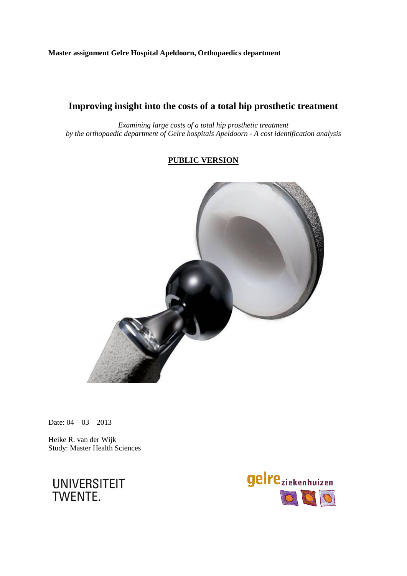## **Master assignment Gelre Hospital Apeldoorn, Orthopaedics department**

# **Improving insight into the costs of a total hip prosthetic treatment**

*Examining large costs of a total hip prosthetic treatment by the orthopaedic department of Gelre hospitals Apeldoorn - A cost identification analysis*

## **PUBLIC VERSION**



Date:  $04 - 03 - 2013$ 

Heike R. van der Wijk Study: Master Health Sciences



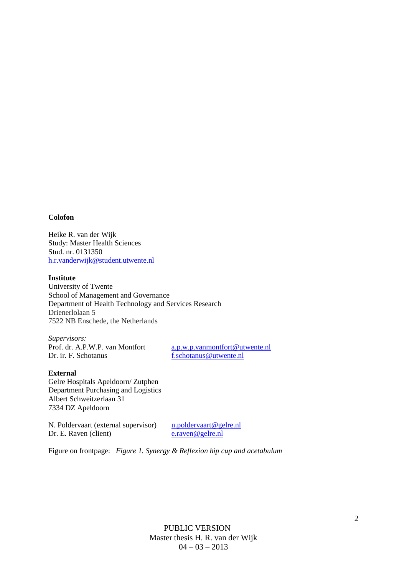#### **Colofon**

Heike R. van der Wijk Study: Master Health Sciences Stud. nr. 0131350 [h.r.vanderwijk@student.utwente.nl](mailto:h.r.vanderwijk@student.utwente.nl)

#### **Institute**

University of Twente School of Management and Governance Department of Health Technology and Services Research Drienerlolaan 5 7522 NB Enschede, the Netherlands

*Supervisors:* Prof. dr. A.P.W.P. van Montfort [a.p.w.p.vanmontfort@utwente.nl](mailto:a.p.w.p.vanmontfort@utwente.nl) Dr. ir. F. Schotanus [f.schotanus@utwente.nl](mailto:f.schotanus@utwente.nl)

#### **External**

Gelre Hospitals Apeldoorn/ Zutphen Department Purchasing and Logistics Albert Schweitzerlaan 31 7334 DZ Apeldoorn

N. Poldervaart (external supervisor) n.poldervaart @gelre.nl<br>Dr. E. Raven (client) e.raven @gelre.nl Dr. E. Raven (client)

Figure on frontpage: *Figure 1. Synergy & Reflexion hip cup and acetabulum*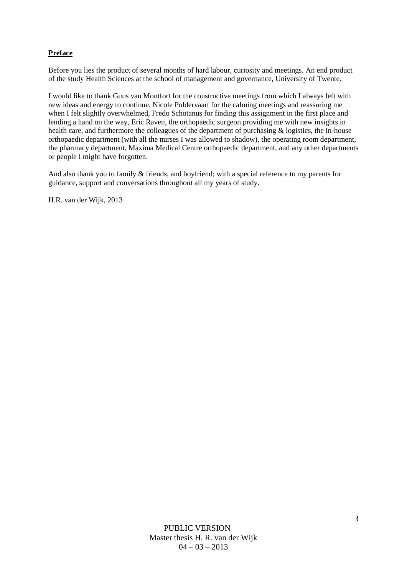## **Preface**

Before you lies the product of several months of hard labour, curiosity and meetings. An end product of the study Health Sciences at the school of management and governance, University of Twente.

I would like to thank Guus van Montfort for the constructive meetings from which I always left with new ideas and energy to continue, Nicole Poldervaart for the calming meetings and reassuring me when I felt slightly overwhelmed, Fredo Schotanus for finding this assignment in the first place and lending a hand on the way, Eric Raven, the orthopaedic surgeon providing me with new insights in health care, and furthermore the colleagues of the department of purchasing & logistics, the in-house orthopaedic department (with all the nurses I was allowed to shadow), the operating room department, the pharmacy department, Maxima Medical Centre orthopaedic department, and any other departments or people I might have forgotten.

And also thank you to family & friends, and boyfriend; with a special reference to my parents for guidance, support and conversations throughout all my years of study.

H.R. van der Wijk, 2013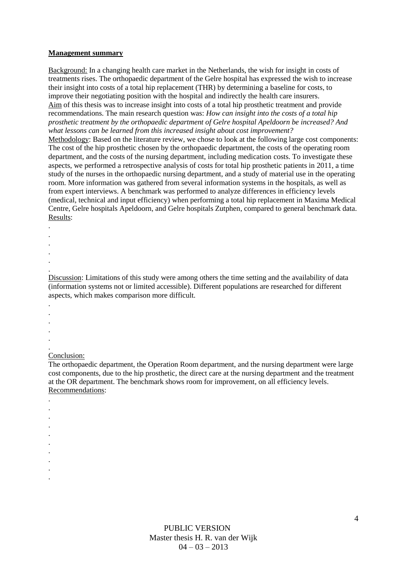#### **Management summary**

Background: In a changing health care market in the Netherlands, the wish for insight in costs of treatments rises. The orthopaedic department of the Gelre hospital has expressed the wish to increase their insight into costs of a total hip replacement (THR) by determining a baseline for costs, to improve their negotiating position with the hospital and indirectly the health care insurers. Aim of this thesis was to increase insight into costs of a total hip prosthetic treatment and provide recommendations. The main research question was: *How can insight into the costs of a total hip prosthetic treatment by the orthopaedic department of Gelre hospital Apeldoorn be increased? And what lessons can be learned from this increased insight about cost improvement?*  Methodology: Based on the literature review, we chose to look at the following large cost components: The cost of the hip prosthetic chosen by the orthopaedic department, the costs of the operating room

department, and the costs of the nursing department, including medication costs. To investigate these aspects, we performed a retrospective analysis of costs for total hip prosthetic patients in 2011, a time study of the nurses in the orthopaedic nursing department, and a study of material use in the operating room. More information was gathered from several information systems in the hospitals, as well as from expert interviews. A benchmark was performed to analyze differences in efficiency levels (medical, technical and input efficiency) when performing a total hip replacement in Maxima Medical Centre, Gelre hospitals Apeldoorn, and Gelre hospitals Zutphen, compared to general benchmark data. Results:

- .
- .

.

.

. .

> Discussion: Limitations of this study were among others the time setting and the availability of data (information systems not or limited accessible). Different populations are researched for different aspects, which makes comparison more difficult.

- .
- .
- . .
- .
- .

. . . . . . . . . .

#### Conclusion:

The orthopaedic department, the Operation Room department, and the nursing department were large cost components, due to the hip prosthetic, the direct care at the nursing department and the treatment at the OR department. The benchmark shows room for improvement, on all efficiency levels. Recommendations:

> PUBLIC VERSION Master thesis H. R. van der Wijk  $04 - 03 - 2013$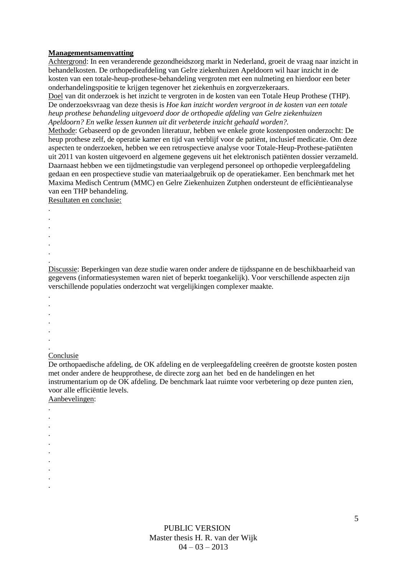#### **Managementsamenvatting**

Achtergrond: In een veranderende gezondheidszorg markt in Nederland, groeit de vraag naar inzicht in behandelkosten. De orthopedieafdeling van Gelre ziekenhuizen Apeldoorn wil haar inzicht in de kosten van een totale-heup-prothese-behandeling vergroten met een nulmeting en hierdoor een beter onderhandelingspositie te krijgen tegenover het ziekenhuis en zorgverzekeraars.

Doel van dit onderzoek is het inzicht te vergroten in de kosten van een Totale Heup Prothese (THP). De onderzoeksvraag van deze thesis is *Hoe kan inzicht worden vergroot in de kosten van een totale heup prothese behandeling uitgevoerd door de orthopedie afdeling van Gelre ziekenhuizen Apeldoorn? En welke lessen kunnen uit dit verbeterde inzicht gehaald worden?.*

Methode: Gebaseerd op de gevonden literatuur, hebben we enkele grote kostenposten onderzocht: De heup prothese zelf, de operatie kamer en tijd van verblijf voor de patiënt, inclusief medicatie. Om deze aspecten te onderzoeken, hebben we een retrospectieve analyse voor Totale-Heup-Prothese-patiënten uit 2011 van kosten uitgevoerd en algemene gegevens uit het elektronisch patiënten dossier verzameld. Daarnaast hebben we een tijdmetingstudie van verplegend personeel op orthopedie verpleegafdeling gedaan en een prospectieve studie van materiaalgebruik op de operatiekamer. Een benchmark met het Maxima Medisch Centrum (MMC) en Gelre Ziekenhuizen Zutphen ondersteunt de efficiëntieanalyse van een THP behandeling.

Resultaten en conclusie:

- . . . .
- .
- . .

Discussie: Beperkingen van deze studie waren onder andere de tijdsspanne en de beschikbaarheid van gegevens (informatiesystemen waren niet of beperkt toegankelijk). Voor verschillende aspecten zijn verschillende populaties onderzocht wat vergelijkingen complexer maakte.

- . .
- .
- .
- .
- . .

. . . . . . . . . .

## Conclusie

De orthopaedische afdeling, de OK afdeling en de verpleegafdeling creeëren de grootste kosten posten met onder andere de heupprothese, de directe zorg aan het bed en de handelingen en het instrumentarium op de OK afdeling. De benchmark laat ruimte voor verbetering op deze punten zien, voor alle efficiëntie levels.

Aanbevelingen:

PUBLIC VERSION Master thesis H. R. van der Wijk  $04 - 03 - 2013$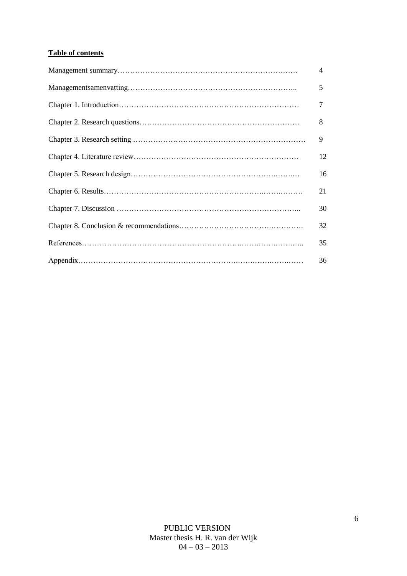## **Table of contents**

| $\overline{4}$ |
|----------------|
| 5              |
| 7              |
| 8              |
| 9              |
| 12             |
| 16             |
| 21             |
| 30             |
| 32             |
| 35             |
| 36             |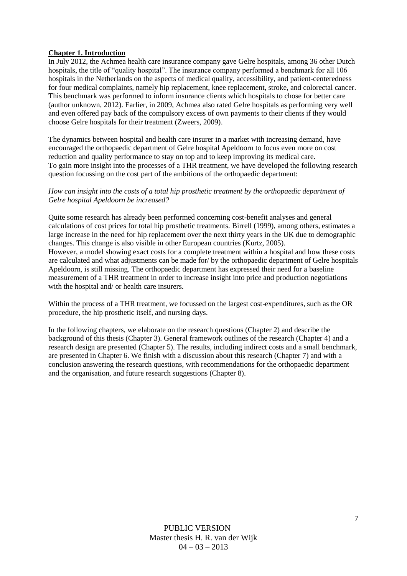#### **Chapter 1. Introduction**

In July 2012, the Achmea health care insurance company gave Gelre hospitals, among 36 other Dutch hospitals, the title of "quality hospital". The insurance company performed a benchmark for all 106 hospitals in the Netherlands on the aspects of medical quality, accessibility, and patient-centeredness for four medical complaints, namely hip replacement, knee replacement, stroke, and colorectal cancer. This benchmark was performed to inform insurance clients which hospitals to chose for better care (author unknown, 2012). Earlier, in 2009, Achmea also rated Gelre hospitals as performing very well and even offered pay back of the compulsory excess of own payments to their clients if they would choose Gelre hospitals for their treatment (Zweers, 2009).

The dynamics between hospital and health care insurer in a market with increasing demand, have encouraged the orthopaedic department of Gelre hospital Apeldoorn to focus even more on cost reduction and quality performance to stay on top and to keep improving its medical care. To gain more insight into the processes of a THR treatment, we have developed the following research question focussing on the cost part of the ambitions of the orthopaedic department:

#### *How can insight into the costs of a total hip prosthetic treatment by the orthopaedic department of Gelre hospital Apeldoorn be increased?*

Quite some research has already been performed concerning cost-benefit analyses and general calculations of cost prices for total hip prosthetic treatments. Birrell (1999), among others, estimates a large increase in the need for hip replacement over the next thirty years in the UK due to demographic changes. This change is also visible in other European countries (Kurtz, 2005). However, a model showing exact costs for a complete treatment within a hospital and how these costs are calculated and what adjustments can be made for/ by the orthopaedic department of Gelre hospitals Apeldoorn, is still missing. The orthopaedic department has expressed their need for a baseline measurement of a THR treatment in order to increase insight into price and production negotiations with the hospital and/ or health care insurers.

Within the process of a THR treatment, we focussed on the largest cost-expenditures, such as the OR procedure, the hip prosthetic itself, and nursing days.

In the following chapters, we elaborate on the research questions (Chapter 2) and describe the background of this thesis (Chapter 3). General framework outlines of the research (Chapter 4) and a research design are presented (Chapter 5). The results, including indirect costs and a small benchmark, are presented in Chapter 6. We finish with a discussion about this research (Chapter 7) and with a conclusion answering the research questions, with recommendations for the orthopaedic department and the organisation, and future research suggestions (Chapter 8).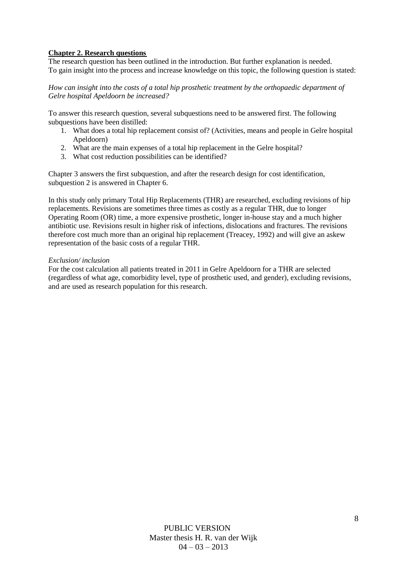### **Chapter 2. Research questions**

The research question has been outlined in the introduction. But further explanation is needed. To gain insight into the process and increase knowledge on this topic, the following question is stated:

*How can insight into the costs of a total hip prosthetic treatment by the orthopaedic department of Gelre hospital Apeldoorn be increased?*

To answer this research question, several subquestions need to be answered first. The following subquestions have been distilled:

- 1. What does a total hip replacement consist of? (Activities, means and people in Gelre hospital Apeldoorn)
- 2. What are the main expenses of a total hip replacement in the Gelre hospital?
- 3. What cost reduction possibilities can be identified?

Chapter 3 answers the first subquestion, and after the research design for cost identification, subquestion 2 is answered in Chapter 6.

In this study only primary Total Hip Replacements (THR) are researched, excluding revisions of hip replacements. Revisions are sometimes three times as costly as a regular THR, due to longer Operating Room (OR) time, a more expensive prosthetic, longer in-house stay and a much higher antibiotic use. Revisions result in higher risk of infections, dislocations and fractures. The revisions therefore cost much more than an original hip replacement (Treacey, 1992) and will give an askew representation of the basic costs of a regular THR.

#### *Exclusion/ inclusion*

For the cost calculation all patients treated in 2011 in Gelre Apeldoorn for a THR are selected (regardless of what age, comorbidity level, type of prosthetic used, and gender), excluding revisions, and are used as research population for this research.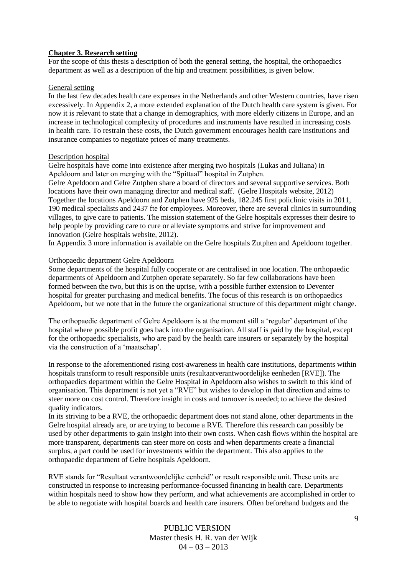#### **Chapter 3. Research setting**

For the scope of this thesis a description of both the general setting, the hospital, the orthopaedics department as well as a description of the hip and treatment possibilities, is given below.

#### General setting

In the last few decades health care expenses in the Netherlands and other Western countries, have risen excessively. In Appendix 2, a more extended explanation of the Dutch health care system is given. For now it is relevant to state that a change in demographics, with more elderly citizens in Europe, and an increase in technological complexity of procedures and instruments have resulted in increasing costs in health care. To restrain these costs, the Dutch government encourages health care institutions and insurance companies to negotiate prices of many treatments.

#### Description hospital

Gelre hospitals have come into existence after merging two hospitals (Lukas and Juliana) in Apeldoorn and later on merging with the "Spittaal" hospital in Zutphen.

Gelre Apeldoorn and Gelre Zutphen share a board of directors and several supportive services. Both locations have their own managing director and medical staff. (Gelre Hospitals website, 2012) Together the locations Apeldoorn and Zutphen have 925 beds, 182.245 first policlinic visits in 2011, 190 medical specialists and 2437 fte for employees. Moreover, there are several clinics in surrounding villages, to give care to patients. The mission statement of the Gelre hospitals expresses their desire to help people by providing care to cure or alleviate symptoms and strive for improvement and innovation (Gelre hospitals website, 2012).

In Appendix 3 more information is available on the Gelre hospitals Zutphen and Apeldoorn together.

#### Orthopaedic department Gelre Apeldoorn

Some departments of the hospital fully cooperate or are centralised in one location. The orthopaedic departments of Apeldoorn and Zutphen operate separately. So far few collaborations have been formed between the two, but this is on the uprise, with a possible further extension to Deventer hospital for greater purchasing and medical benefits. The focus of this research is on orthopaedics Apeldoorn, but we note that in the future the organizational structure of this department might change.

The orthopaedic department of Gelre Apeldoorn is at the moment still a 'regular' department of the hospital where possible profit goes back into the organisation. All staff is paid by the hospital, except for the orthopaedic specialists, who are paid by the health care insurers or separately by the hospital via the construction of a 'maatschap'.

In response to the aforementioned rising cost-awareness in health care institutions, departments within hospitals transform to result responsible units (resultaatverantwoordelijke eenheden [RVE]). The orthopaedics department within the Gelre Hospital in Apeldoorn also wishes to switch to this kind of organisation. This department is not yet a "RVE" but wishes to develop in that direction and aims to steer more on cost control. Therefore insight in costs and turnover is needed; to achieve the desired quality indicators.

In its striving to be a RVE, the orthopaedic department does not stand alone, other departments in the Gelre hospital already are, or are trying to become a RVE. Therefore this research can possibly be used by other departments to gain insight into their own costs. When cash flows within the hospital are more transparent, departments can steer more on costs and when departments create a financial surplus, a part could be used for investments within the department. This also applies to the orthopaedic department of Gelre hospitals Apeldoorn.

RVE stands for "Resultaat verantwoordelijke eenheid" or result responsible unit. These units are constructed in response to increasing performance-focussed financing in health care. Departments within hospitals need to show how they perform, and what achievements are accomplished in order to be able to negotiate with hospital boards and health care insurers. Often beforehand budgets and the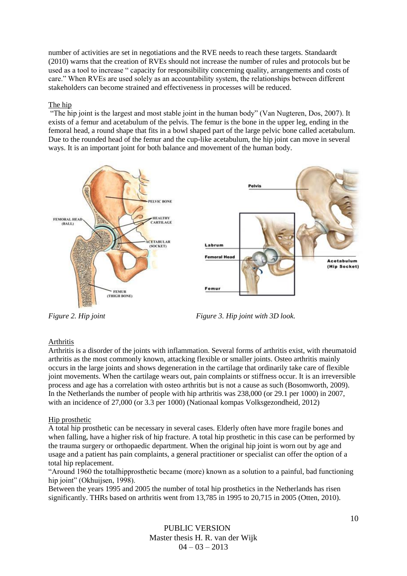number of activities are set in negotiations and the RVE needs to reach these targets. Standaardt (2010) warns that the creation of RVEs should not increase the number of rules and protocols but be used as a tool to increase " capacity for responsibility concerning quality, arrangements and costs of care." When RVEs are used solely as an accountability system, the relationships between different stakeholders can become strained and effectiveness in processes will be reduced.

## The hip

"The hip joint is the largest and most stable joint in the human body" (Van Nugteren, Dos, 2007). It exists of a femur and acetabulum of the pelvis. The femur is the bone in the upper leg, ending in the femoral head, a round shape that fits in a bowl shaped part of the large pelvic bone called acetabulum. Due to the rounded head of the femur and the cup-like acetabulum, the hip joint can move in several ways. It is an important joint for both balance and movement of the human body.



*Figure 2. Hip joint Figure 3. Hip joint with 3D look.*

## Arthritis

Arthritis is a disorder of the joints with inflammation. Several forms of arthritis exist, with rheumatoid arthritis as the most commonly known, attacking flexible or smaller joints. Osteo arthritis mainly occurs in the large joints and shows degeneration in the cartilage that ordinarily take care of flexible joint movements. When the cartilage wears out, pain complaints or stiffness occur. It is an irreversible process and age has a correlation with osteo arthritis but is not a cause as such (Bosomworth, 2009). In the Netherlands the number of people with hip arthritis was 238,000 (or 29.1 per 1000) in 2007, with an incidence of 27,000 (or 3.3 per 1000) (Nationaal kompas Volksgezondheid, 2012)

## Hip prosthetic

A total hip prosthetic can be necessary in several cases. Elderly often have more fragile bones and when falling, have a higher risk of hip fracture. A total hip prosthetic in this case can be performed by the trauma surgery or orthopaedic department. When the original hip joint is worn out by age and usage and a patient has pain complaints, a general practitioner or specialist can offer the option of a total hip replacement.

"Around 1960 the totalhipprosthetic became (more) known as a solution to a painful, bad functioning hip joint" (Okhuijsen, 1998).

Between the years 1995 and 2005 the number of total hip prosthetics in the Netherlands has risen significantly. THRs based on arthritis went from 13,785 in 1995 to 20,715 in 2005 (Otten, 2010).

> PUBLIC VERSION Master thesis H. R. van der Wijk  $04 - 03 - 2013$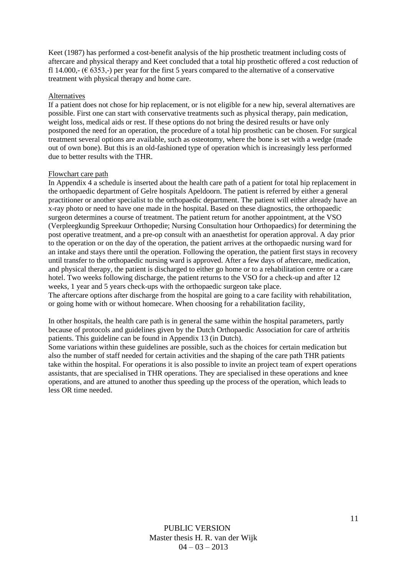Keet (1987) has performed a cost-benefit analysis of the hip prosthetic treatment including costs of aftercare and physical therapy and Keet concluded that a total hip prosthetic offered a cost reduction of fl 14.000,- ( $\epsilon$  6353,-) per year for the first 5 years compared to the alternative of a conservative treatment with physical therapy and home care.

#### Alternatives

If a patient does not chose for hip replacement, or is not eligible for a new hip, several alternatives are possible. First one can start with conservative treatments such as physical therapy, pain medication, weight loss, medical aids or rest. If these options do not bring the desired results or have only postponed the need for an operation, the procedure of a total hip prosthetic can be chosen. For surgical treatment several options are available, such as osteotomy, where the bone is set with a wedge (made out of own bone). But this is an old-fashioned type of operation which is increasingly less performed due to better results with the THR.

#### Flowchart care path

In Appendix 4 a schedule is inserted about the health care path of a patient for total hip replacement in the orthopaedic department of Gelre hospitals Apeldoorn. The patient is referred by either a general practitioner or another specialist to the orthopaedic department. The patient will either already have an x-ray photo or need to have one made in the hospital. Based on these diagnostics, the orthopaedic surgeon determines a course of treatment. The patient return for another appointment, at the VSO (Verpleegkundig Spreekuur Orthopedie; Nursing Consultation hour Orthopaedics) for determining the post operative treatment, and a pre-op consult with an anaesthetist for operation approval. A day prior to the operation or on the day of the operation, the patient arrives at the orthopaedic nursing ward for an intake and stays there until the operation. Following the operation, the patient first stays in recovery until transfer to the orthopaedic nursing ward is approved. After a few days of aftercare, medication, and physical therapy, the patient is discharged to either go home or to a rehabilitation centre or a care hotel. Two weeks following discharge, the patient returns to the VSO for a check-up and after 12 weeks, 1 year and 5 years check-ups with the orthopaedic surgeon take place. The aftercare options after discharge from the hospital are going to a care facility with rehabilitation, or going home with or without homecare. When choosing for a rehabilitation facility,

In other hospitals, the health care path is in general the same within the hospital parameters, partly because of protocols and guidelines given by the Dutch Orthopaedic Association for care of arthritis patients. This guideline can be found in Appendix 13 (in Dutch).

Some variations within these guidelines are possible, such as the choices for certain medication but also the number of staff needed for certain activities and the shaping of the care path THR patients take within the hospital. For operations it is also possible to invite an project team of expert operations assistants, that are specialised in THR operations. They are specialised in these operations and knee operations, and are attuned to another thus speeding up the process of the operation, which leads to less OR time needed.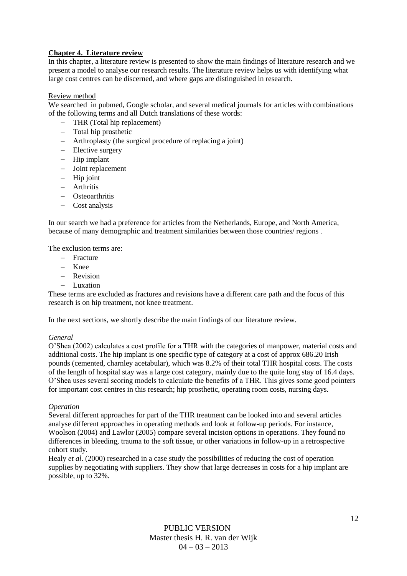## **Chapter 4. Literature review**

In this chapter, a literature review is presented to show the main findings of literature research and we present a model to analyse our research results. The literature review helps us with identifying what large cost centres can be discerned, and where gaps are distinguished in research.

#### Review method

We searched in pubmed, Google scholar, and several medical journals for articles with combinations of the following terms and all Dutch translations of these words:

- THR (Total hip replacement)
- Total hip prosthetic
- Arthroplasty (the surgical procedure of replacing a joint)
- Elective surgery
- $-$  Hip implant
- Joint replacement
- $-$  Hip joint
- $-$  Arthritis
- Osteoarthritis
- Cost analysis

In our search we had a preference for articles from the Netherlands, Europe, and North America, because of many demographic and treatment similarities between those countries/ regions .

The exclusion terms are:

- $-$  Fracture
- Knee
- Revision
- Luxation

These terms are excluded as fractures and revisions have a different care path and the focus of this research is on hip treatment, not knee treatment.

In the next sections, we shortly describe the main findings of our literature review.

#### *General*

O'Shea (2002) calculates a cost profile for a THR with the categories of manpower, material costs and additional costs. The hip implant is one specific type of category at a cost of approx 686.20 Irish pounds (cemented, charnley acetabular), which was 8.2% of their total THR hospital costs. The costs of the length of hospital stay was a large cost category, mainly due to the quite long stay of 16.4 days. O'Shea uses several scoring models to calculate the benefits of a THR. This gives some good pointers for important cost centres in this research; hip prosthetic, operating room costs, nursing days.

#### *Operation*

Several different approaches for part of the THR treatment can be looked into and several articles analyse different approaches in operating methods and look at follow-up periods. For instance, Woolson (2004) and Lawlor (2005) compare several incision options in operations. They found no differences in bleeding, trauma to the soft tissue, or other variations in follow-up in a retrospective cohort study.

Healy *et al*. (2000) researched in a case study the possibilities of reducing the cost of operation supplies by negotiating with suppliers. They show that large decreases in costs for a hip implant are possible, up to 32%.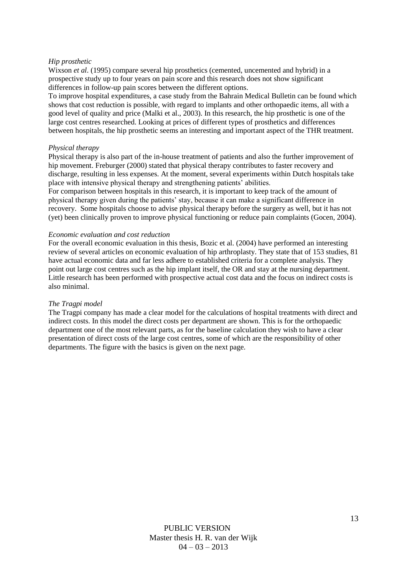#### *Hip prosthetic*

Wixson *et al.* (1995) compare several hip prosthetics (cemented, uncemented and hybrid) in a prospective study up to four years on pain score and this research does not show significant differences in follow-up pain scores between the different options.

To improve hospital expenditures, a case study from the Bahrain Medical Bulletin can be found which shows that cost reduction is possible, with regard to implants and other orthopaedic items, all with a good level of quality and price (Malki et al., 2003). In this research, the hip prosthetic is one of the large cost centres researched. Looking at prices of different types of prosthetics and differences between hospitals, the hip prosthetic seems an interesting and important aspect of the THR treatment.

#### *Physical therapy*

Physical therapy is also part of the in-house treatment of patients and also the further improvement of hip movement. Freburger (2000) stated that physical therapy contributes to faster recovery and discharge, resulting in less expenses. At the moment, several experiments within Dutch hospitals take place with intensive physical therapy and strengthening patients' abilities.

For comparison between hospitals in this research, it is important to keep track of the amount of physical therapy given during the patients' stay, because it can make a significant difference in recovery. Some hospitals choose to advise physical therapy before the surgery as well, but it has not (yet) been clinically proven to improve physical functioning or reduce pain complaints (Gocen, 2004).

#### *Economic evaluation and cost reduction*

For the overall economic evaluation in this thesis, Bozic et al. (2004) have performed an interesting review of several articles on economic evaluation of hip arthroplasty. They state that of 153 studies, 81 have actual economic data and far less adhere to established criteria for a complete analysis. They point out large cost centres such as the hip implant itself, the OR and stay at the nursing department. Little research has been performed with prospective actual cost data and the focus on indirect costs is also minimal.

#### *The Tragpi model*

The Tragpi company has made a clear model for the calculations of hospital treatments with direct and indirect costs. In this model the direct costs per department are shown. This is for the orthopaedic department one of the most relevant parts, as for the baseline calculation they wish to have a clear presentation of direct costs of the large cost centres, some of which are the responsibility of other departments. The figure with the basics is given on the next page.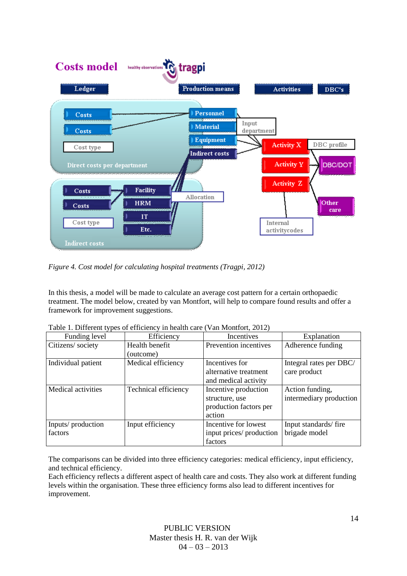

*Figure 4. Cost model for calculating hospital treatments (Tragpi, 2012)*

In this thesis, a model will be made to calculate an average cost pattern for a certain orthopaedic treatment. The model below, created by van Montfort, will help to compare found results and offer a framework for improvement suggestions.

| Funding level             | Efficiency           | Incentives               | Explanation             |
|---------------------------|----------------------|--------------------------|-------------------------|
| Citizens/ society         | Health benefit       | Prevention incentives    | Adherence funding       |
|                           | (outcome)            |                          |                         |
| Individual patient        | Medical efficiency   | Incentives for           | Integral rates per DBC/ |
|                           |                      | alternative treatment    | care product            |
|                           |                      | and medical activity     |                         |
| <b>Medical activities</b> | Technical efficiency | Incentive production     | Action funding,         |
|                           |                      | structure, use           | intermediary production |
|                           |                      | production factors per   |                         |
|                           |                      | action                   |                         |
| Inputs/production         | Input efficiency     | Incentive for lowest     | Input standards/fire    |
| factors                   |                      | input prices/ production | brigade model           |
|                           |                      | factors                  |                         |

Table 1. Different types of efficiency in health care (Van Montfort, 2012)

The comparisons can be divided into three efficiency categories: medical efficiency, input efficiency, and technical efficiency.

Each efficiency reflects a different aspect of health care and costs. They also work at different funding levels within the organisation. These three efficiency forms also lead to different incentives for improvement.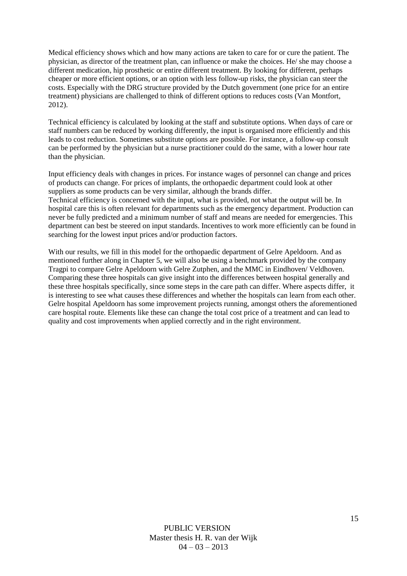Medical efficiency shows which and how many actions are taken to care for or cure the patient. The physician, as director of the treatment plan, can influence or make the choices. He/ she may choose a different medication, hip prosthetic or entire different treatment. By looking for different, perhaps cheaper or more efficient options, or an option with less follow-up risks, the physician can steer the costs. Especially with the DRG structure provided by the Dutch government (one price for an entire treatment) physicians are challenged to think of different options to reduces costs (Van Montfort, 2012).

Technical efficiency is calculated by looking at the staff and substitute options. When days of care or staff numbers can be reduced by working differently, the input is organised more efficiently and this leads to cost reduction. Sometimes substitute options are possible. For instance, a follow-up consult can be performed by the physician but a nurse practitioner could do the same, with a lower hour rate than the physician.

Input efficiency deals with changes in prices. For instance wages of personnel can change and prices of products can change. For prices of implants, the orthopaedic department could look at other suppliers as some products can be very similar, although the brands differ. Technical efficiency is concerned with the input, what is provided, not what the output will be. In hospital care this is often relevant for departments such as the emergency department. Production can never be fully predicted and a minimum number of staff and means are needed for emergencies. This department can best be steered on input standards. Incentives to work more efficiently can be found in searching for the lowest input prices and/or production factors.

With our results, we fill in this model for the orthopaedic department of Gelre Apeldoorn. And as mentioned further along in Chapter 5, we will also be using a benchmark provided by the company Tragpi to compare Gelre Apeldoorn with Gelre Zutphen, and the MMC in Eindhoven/ Veldhoven. Comparing these three hospitals can give insight into the differences between hospital generally and these three hospitals specifically, since some steps in the care path can differ. Where aspects differ, it is interesting to see what causes these differences and whether the hospitals can learn from each other. Gelre hospital Apeldoorn has some improvement projects running, amongst others the aforementioned care hospital route. Elements like these can change the total cost price of a treatment and can lead to quality and cost improvements when applied correctly and in the right environment.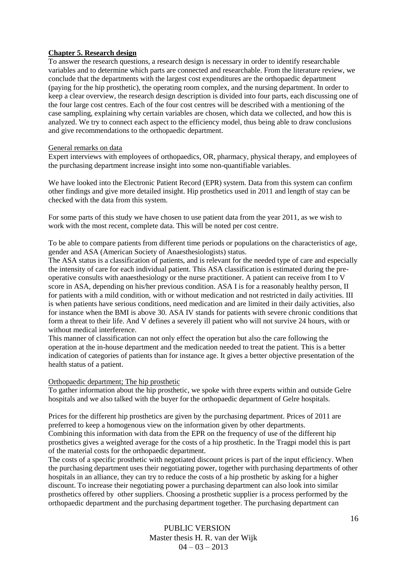#### **Chapter 5. Research design**

To answer the research questions, a research design is necessary in order to identify researchable variables and to determine which parts are connected and researchable. From the literature review, we conclude that the departments with the largest cost expenditures are the orthopaedic department (paying for the hip prosthetic), the operating room complex, and the nursing department. In order to keep a clear overview, the research design description is divided into four parts, each discussing one of the four large cost centres. Each of the four cost centres will be described with a mentioning of the case sampling, explaining why certain variables are chosen, which data we collected, and how this is analyzed. We try to connect each aspect to the efficiency model, thus being able to draw conclusions and give recommendations to the orthopaedic department.

#### General remarks on data

Expert interviews with employees of orthopaedics, OR, pharmacy, physical therapy, and employees of the purchasing department increase insight into some non-quantifiable variables.

We have looked into the Electronic Patient Record (EPR) system. Data from this system can confirm other findings and give more detailed insight. Hip prosthetics used in 2011 and length of stay can be checked with the data from this system.

For some parts of this study we have chosen to use patient data from the year 2011, as we wish to work with the most recent, complete data. This will be noted per cost centre.

To be able to compare patients from different time periods or populations on the characteristics of age, gender and ASA (American Society of Anaesthesiologists) status.

The ASA status is a classification of patients, and is relevant for the needed type of care and especially the intensity of care for each individual patient. This ASA classification is estimated during the preoperative consults with anaesthesiology or the nurse practitioner. A patient can receive from I to V score in ASA, depending on his/her previous condition. ASA I is for a reasonably healthy person, II for patients with a mild condition, with or without medication and not restricted in daily activities. III is when patients have serious conditions, need medication and are limited in their daily activities, also for instance when the BMI is above 30. ASA IV stands for patients with severe chronic conditions that form a threat to their life. And V defines a severely ill patient who will not survive 24 hours, with or without medical interference.

This manner of classification can not only effect the operation but also the care following the operation at the in-house department and the medication needed to treat the patient. This is a better indication of categories of patients than for instance age. It gives a better objective presentation of the health status of a patient.

#### Orthopaedic department; The hip prosthetic

To gather information about the hip prosthetic, we spoke with three experts within and outside Gelre hospitals and we also talked with the buyer for the orthopaedic department of Gelre hospitals.

Prices for the different hip prosthetics are given by the purchasing department. Prices of 2011 are preferred to keep a homogenous view on the information given by other departments. Combining this information with data from the EPR on the frequency of use of the different hip prosthetics gives a weighted average for the costs of a hip prosthetic. In the Tragpi model this is part of the material costs for the orthopaedic department.

The costs of a specific prosthetic with negotiated discount prices is part of the input efficiency. When the purchasing department uses their negotiating power, together with purchasing departments of other hospitals in an alliance, they can try to reduce the costs of a hip prosthetic by asking for a higher discount. To increase their negotiating power a purchasing department can also look into similar prosthetics offered by other suppliers. Choosing a prosthetic supplier is a process performed by the orthopaedic department and the purchasing department together. The purchasing department can

> PUBLIC VERSION Master thesis H. R. van der Wijk  $04 - 03 - 2013$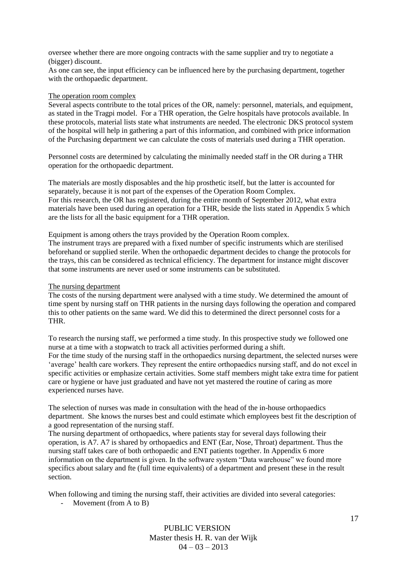oversee whether there are more ongoing contracts with the same supplier and try to negotiate a (bigger) discount.

As one can see, the input efficiency can be influenced here by the purchasing department, together with the orthopaedic department.

#### The operation room complex

Several aspects contribute to the total prices of the OR, namely: personnel, materials, and equipment, as stated in the Tragpi model. For a THR operation, the Gelre hospitals have protocols available. In these protocols, material lists state what instruments are needed. The electronic DKS protocol system of the hospital will help in gathering a part of this information, and combined with price information of the Purchasing department we can calculate the costs of materials used during a THR operation.

Personnel costs are determined by calculating the minimally needed staff in the OR during a THR operation for the orthopaedic department.

The materials are mostly disposables and the hip prosthetic itself, but the latter is accounted for separately, because it is not part of the expenses of the Operation Room Complex. For this research, the OR has registered, during the entire month of September 2012, what extra materials have been used during an operation for a THR, beside the lists stated in Appendix 5 which are the lists for all the basic equipment for a THR operation.

Equipment is among others the trays provided by the Operation Room complex. The instrument trays are prepared with a fixed number of specific instruments which are sterilised beforehand or supplied sterile. When the orthopaedic department decides to change the protocols for the trays, this can be considered as technical efficiency. The department for instance might discover that some instruments are never used or some instruments can be substituted.

#### The nursing department

The costs of the nursing department were analysed with a time study. We determined the amount of time spent by nursing staff on THR patients in the nursing days following the operation and compared this to other patients on the same ward. We did this to determined the direct personnel costs for a THR.

To research the nursing staff, we performed a time study. In this prospective study we followed one nurse at a time with a stopwatch to track all activities performed during a shift. For the time study of the nursing staff in the orthopaedics nursing department, the selected nurses were 'average' health care workers. They represent the entire orthopaedics nursing staff, and do not excel in specific activities or emphasize certain activities. Some staff members might take extra time for patient care or hygiene or have just graduated and have not yet mastered the routine of caring as more experienced nurses have.

The selection of nurses was made in consultation with the head of the in-house orthopaedics department. She knows the nurses best and could estimate which employees best fit the description of a good representation of the nursing staff.

The nursing department of orthopaedics, where patients stay for several days following their operation, is A7. A7 is shared by orthopaedics and ENT (Ear, Nose, Throat) department. Thus the nursing staff takes care of both orthopaedic and ENT patients together. In Appendix 6 more information on the department is given. In the software system "Data warehouse" we found more specifics about salary and fte (full time equivalents) of a department and present these in the result section.

When following and timing the nursing staff, their activities are divided into several categories:

- Movement (from A to B)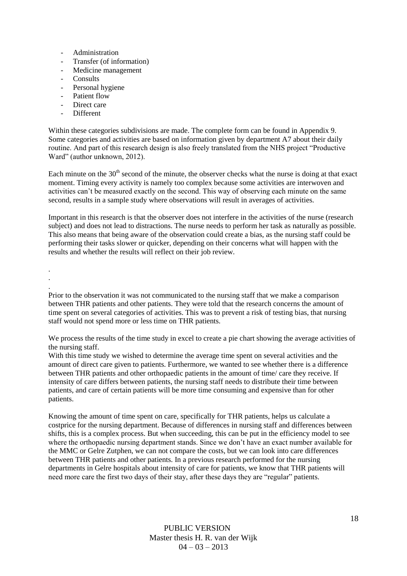- Administration
- Transfer (of information)
- Medicine management
- Consults
- Personal hygiene
- Patient flow
- Direct care
- Different

Within these categories subdivisions are made. The complete form can be found in Appendix 9. Some categories and activities are based on information given by department A7 about their daily routine. And part of this research design is also freely translated from the NHS project "Productive Ward" (author unknown, 2012).

Each minute on the  $30<sup>th</sup>$  second of the minute, the observer checks what the nurse is doing at that exact moment. Timing every activity is namely too complex because some activities are interwoven and activities can't be measured exactly on the second. This way of observing each minute on the same second, results in a sample study where observations will result in averages of activities.

Important in this research is that the observer does not interfere in the activities of the nurse (research subject) and does not lead to distractions. The nurse needs to perform her task as naturally as possible. This also means that being aware of the observation could create a bias, as the nursing staff could be performing their tasks slower or quicker, depending on their concerns what will happen with the results and whether the results will reflect on their job review.

. .

.

Prior to the observation it was not communicated to the nursing staff that we make a comparison between THR patients and other patients. They were told that the research concerns the amount of time spent on several categories of activities. This was to prevent a risk of testing bias, that nursing staff would not spend more or less time on THR patients.

We process the results of the time study in excel to create a pie chart showing the average activities of the nursing staff.

With this time study we wished to determine the average time spent on several activities and the amount of direct care given to patients. Furthermore, we wanted to see whether there is a difference between THR patients and other orthopaedic patients in the amount of time/ care they receive. If intensity of care differs between patients, the nursing staff needs to distribute their time between patients, and care of certain patients will be more time consuming and expensive than for other patients.

Knowing the amount of time spent on care, specifically for THR patients, helps us calculate a costprice for the nursing department. Because of differences in nursing staff and differences between shifts, this is a complex process. But when succeeding, this can be put in the efficiency model to see where the orthopaedic nursing department stands. Since we don't have an exact number available for the MMC or Gelre Zutphen, we can not compare the costs, but we can look into care differences between THR patients and other patients. In a previous research performed for the nursing departments in Gelre hospitals about intensity of care for patients, we know that THR patients will need more care the first two days of their stay, after these days they are "regular" patients.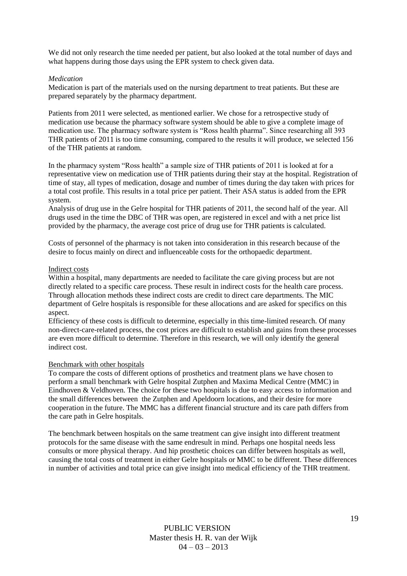We did not only research the time needed per patient, but also looked at the total number of days and what happens during those days using the EPR system to check given data.

#### *Medication*

Medication is part of the materials used on the nursing department to treat patients. But these are prepared separately by the pharmacy department.

Patients from 2011 were selected, as mentioned earlier. We chose for a retrospective study of medication use because the pharmacy software system should be able to give a complete image of medication use. The pharmacy software system is "Ross health pharma". Since researching all 393 THR patients of 2011 is too time consuming, compared to the results it will produce, we selected 156 of the THR patients at random.

In the pharmacy system "Ross health" a sample size of THR patients of 2011 is looked at for a representative view on medication use of THR patients during their stay at the hospital. Registration of time of stay, all types of medication, dosage and number of times during the day taken with prices for a total cost profile. This results in a total price per patient. Their ASA status is added from the EPR system.

Analysis of drug use in the Gelre hospital for THR patients of 2011, the second half of the year. All drugs used in the time the DBC of THR was open, are registered in excel and with a net price list provided by the pharmacy, the average cost price of drug use for THR patients is calculated.

Costs of personnel of the pharmacy is not taken into consideration in this research because of the desire to focus mainly on direct and influenceable costs for the orthopaedic department.

#### Indirect costs

Within a hospital, many departments are needed to facilitate the care giving process but are not directly related to a specific care process. These result in indirect costs for the health care process. Through allocation methods these indirect costs are credit to direct care departments. The MIC department of Gelre hospitals is responsible for these allocations and are asked for specifics on this aspect.

Efficiency of these costs is difficult to determine, especially in this time-limited research. Of many non-direct-care-related process, the cost prices are difficult to establish and gains from these processes are even more difficult to determine. Therefore in this research, we will only identify the general indirect cost.

#### Benchmark with other hospitals

To compare the costs of different options of prosthetics and treatment plans we have chosen to perform a small benchmark with Gelre hospital Zutphen and Maxima Medical Centre (MMC) in Eindhoven & Veldhoven. The choice for these two hospitals is due to easy access to information and the small differences between the Zutphen and Apeldoorn locations, and their desire for more cooperation in the future. The MMC has a different financial structure and its care path differs from the care path in Gelre hospitals.

The benchmark between hospitals on the same treatment can give insight into different treatment protocols for the same disease with the same endresult in mind. Perhaps one hospital needs less consults or more physical therapy. And hip prosthetic choices can differ between hospitals as well, causing the total costs of treatment in either Gelre hospitals or MMC to be different. These differences in number of activities and total price can give insight into medical efficiency of the THR treatment.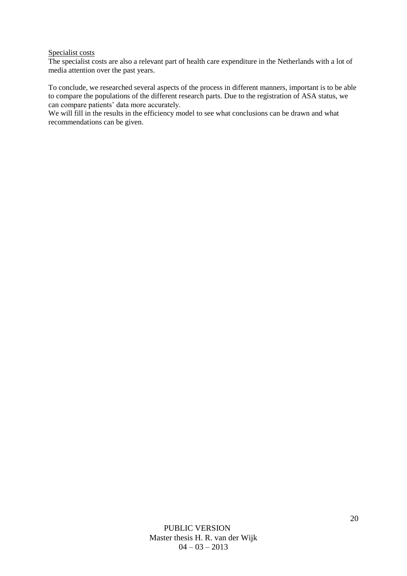#### Specialist costs

The specialist costs are also a relevant part of health care expenditure in the Netherlands with a lot of media attention over the past years.

To conclude, we researched several aspects of the process in different manners, important is to be able to compare the populations of the different research parts. Due to the registration of ASA status, we can compare patients' data more accurately.

We will fill in the results in the efficiency model to see what conclusions can be drawn and what recommendations can be given.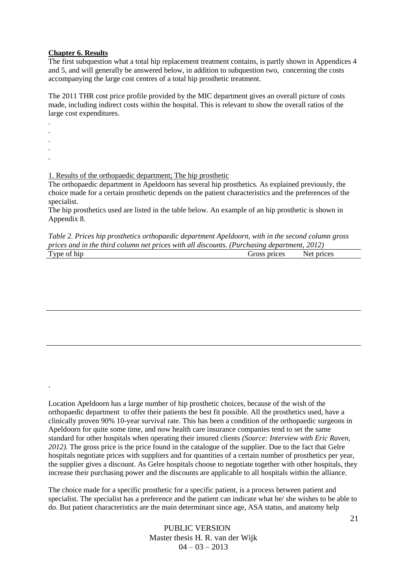#### **Chapter 6. Results**

The first subquestion what a total hip replacement treatment contains, is partly shown in Appendices 4 and 5, and will generally be answered below, in addition to subquestion two, concerning the costs accompanying the large cost centres of a total hip prosthetic treatment.

The 2011 THR cost price profile provided by the MIC department gives an overall picture of costs made, including indirect costs within the hospital. This is relevant to show the overall ratios of the large cost expenditures.

. . . .

*.*

.

1. Results of the orthopaedic department; The hip prosthetic

The orthopaedic department in Apeldoorn has several hip prosthetics. As explained previously, the choice made for a certain prosthetic depends on the patient characteristics and the preferences of the specialist.

The hip prosthetics used are listed in the table below. An example of an hip prosthetic is shown in Appendix 8.

*Table 2. Prices hip prosthetics orthopaedic department Apeldoorn, with in the second column gross prices and in the third column net prices with all discounts. (Purchasing department, 2012)*

| $\mathbf{r}$<br>''vne<br><b>.</b><br> |  | CPC<br>تتصابر<br>$\sim$ $\sim$ $\sim$ | <b>NF</b> |  |
|---------------------------------------|--|---------------------------------------|-----------|--|
|                                       |  |                                       |           |  |

Location Apeldoorn has a large number of hip prosthetic choices, because of the wish of the orthopaedic department to offer their patients the best fit possible. All the prosthetics used, have a clinically proven 90% 10-year survival rate. This has been a condition of the orthopaedic surgeons in Apeldoorn for quite some time, and now health care insurance companies tend to set the same standard for other hospitals when operating their insured clients *(Source: Interview with Eric Raven, 2012).* The gross price is the price found in the catalogue of the supplier. Due to the fact that Gelre hospitals negotiate prices with suppliers and for quantities of a certain number of prosthetics per year, the supplier gives a discount. As Gelre hospitals choose to negotiate together with other hospitals, they increase their purchasing power and the discounts are applicable to all hospitals within the alliance.

The choice made for a specific prosthetic for a specific patient, is a process between patient and specialist. The specialist has a preference and the patient can indicate what he/ she wishes to be able to do. But patient characteristics are the main determinant since age, ASA status, and anatomy help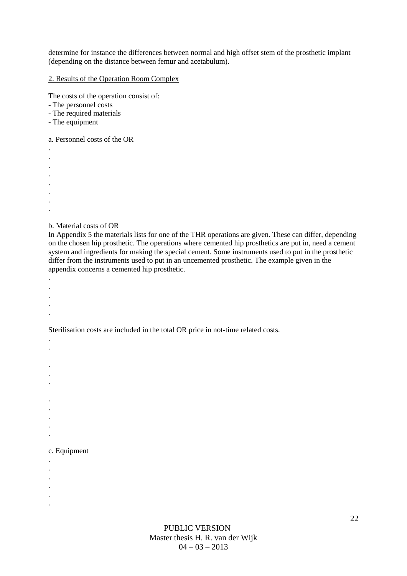determine for instance the differences between normal and high offset stem of the prosthetic implant (depending on the distance between femur and acetabulum).

2. Results of the Operation Room Complex

The costs of the operation consist of:

- The personnel costs
- The required materials
- The equipment

a. Personnel costs of the OR

- . . . . . . . .
- b. Material costs of OR

In Appendix 5 the materials lists for one of the THR operations are given. These can differ, depending on the chosen hip prosthetic. The operations where cemented hip prosthetics are put in, need a cement system and ingredients for making the special cement. Some instruments used to put in the prosthetic differ from the instruments used to put in an uncemented prosthetic. The example given in the appendix concerns a cemented hip prosthetic.

- . .
- .
- .
- .

. .

Sterilisation costs are included in the total OR price in not-time related costs.

- .
- .
- .
- 
- .
- . .
- .
- .

## c. Equipment

- .
- .
- .
- . .
- .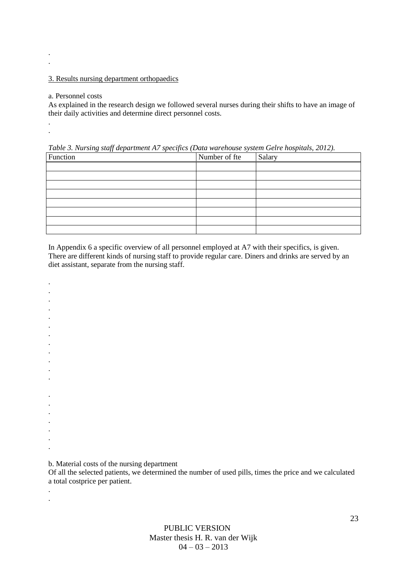#### 3. Results nursing department orthopaedics

#### a. Personnel costs

. .

. .

. . . . .

> . .

As explained in the research design we followed several nurses during their shifts to have an image of their daily activities and determine direct personnel costs.

*Table 3. Nursing staff department A7 specifics (Data warehouse system Gelre hospitals, 2012).*

| Function | Number of fte | Salary |
|----------|---------------|--------|
|          |               |        |
|          |               |        |
|          |               |        |
|          |               |        |
|          |               |        |
|          |               |        |
|          |               |        |
|          |               |        |

In Appendix 6 a specific overview of all personnel employed at A7 with their specifics, is given. There are different kinds of nursing staff to provide regular care. Diners and drinks are served by an diet assistant, separate from the nursing staff.

. . . . . . . . . . . . . .

b. Material costs of the nursing department

Of all the selected patients, we determined the number of used pills, times the price and we calculated a total costprice per patient.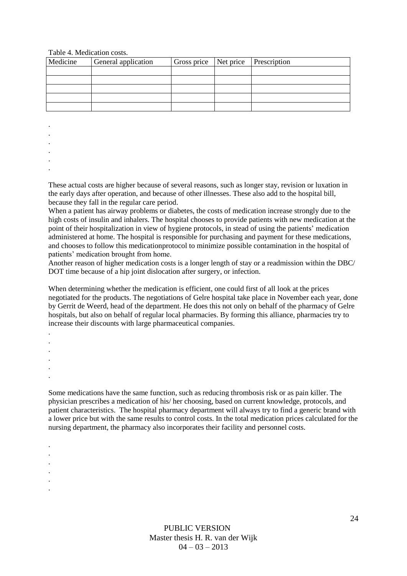#### Table 4. Medication costs.

| Medicine | General application | Gross price   Net price   Prescription |  |
|----------|---------------------|----------------------------------------|--|
|          |                     |                                        |  |
|          |                     |                                        |  |
|          |                     |                                        |  |
|          |                     |                                        |  |
|          |                     |                                        |  |

. .

.

. .

.

These actual costs are higher because of several reasons, such as longer stay, revision or luxation in the early days after operation, and because of other illnesses. These also add to the hospital bill, because they fall in the regular care period.

When a patient has airway problems or diabetes, the costs of medication increase strongly due to the high costs of insulin and inhalers. The hospital chooses to provide patients with new medication at the point of their hospitalization in view of hygiene protocols, in stead of using the patients' medication administered at home. The hospital is responsible for purchasing and payment for these medications, and chooses to follow this medicationprotocol to minimize possible contamination in the hospital of patients' medication brought from home.

Another reason of higher medication costs is a longer length of stay or a readmission within the DBC/ DOT time because of a hip joint dislocation after surgery, or infection.

When determining whether the medication is efficient, one could first of all look at the prices negotiated for the products. The negotiations of Gelre hospital take place in November each year, done by Gerrit de Weerd, head of the department. He does this not only on behalf of the pharmacy of Gelre hospitals, but also on behalf of regular local pharmacies. By forming this alliance, pharmacies try to increase their discounts with large pharmaceutical companies.

. .

.

.

.

. . . . . .

.

Some medications have the same function, such as reducing thrombosis risk or as pain killer. The physician prescribes a medication of his/ her choosing, based on current knowledge, protocols, and patient characteristics. The hospital pharmacy department will always try to find a generic brand with a lower price but with the same results to control costs. In the total medication prices calculated for the nursing department, the pharmacy also incorporates their facility and personnel costs.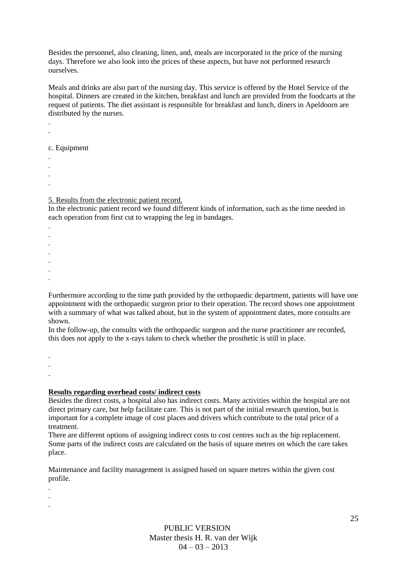Besides the personnel, also cleaning, linen, and, meals are incorporated in the price of the nursing days. Therefore we also look into the prices of these aspects, but have not performed research ourselves.

Meals and drinks are also part of the nursing day. This service is offered by the Hotel Service of the hospital. Dinners are created in the kitchen, breakfast and lunch are provided from the foodcarts at the request of patients. The diet assistant is responsible for breakfast and lunch, diners in Apeldoorn are distributed by the nurses.

c. Equipment

. .

. *.*

- .
- .

.

5. Results from the electronic patient record.

In the electronic patient record we found different kinds of information, such as the time needed in each operation from first cut to wrapping the leg in bandages.

- . . . . . .
- Furthermore according to the time path provided by the orthopaedic department, patients will have one appointment with the orthopaedic surgeon prior to their operation. The record shows one appointment with a summary of what was talked about, but in the system of appointment dates, more consults are shown.

In the follow-up, the consults with the orthopaedic surgeon and the nurse practitioner are recorded, this does not apply to the x-rays taken to check whether the prosthetic is still in place.

. . .

**Results regarding overhead costs/ indirect costs**

Besides the direct costs, a hospital also has indirect costs. Many activities within the hospital are not direct primary care, but help facilitate care. This is not part of the initial research question, but is important for a complete image of cost places and drivers which contribute to the total price of a treatment.

There are different options of assigning indirect costs to cost centres such as the hip replacement. Some parts of the indirect costs are calculated on the basis of square metres on which the care takes place.

Maintenance and facility management is assigned based on square metres within the given cost profile.

. . .

> PUBLIC VERSION Master thesis H. R. van der Wijk  $04 - 03 - 2013$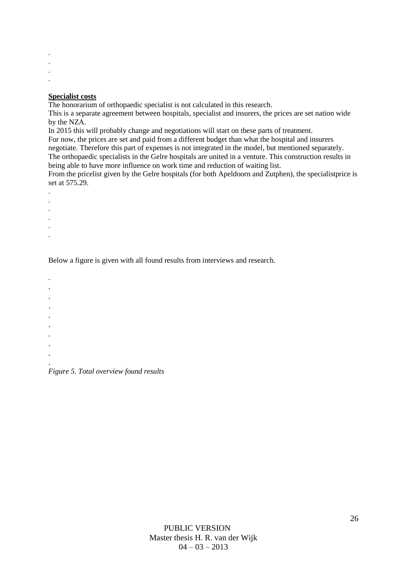. .

. .

#### **Specialist costs**

The honorarium of orthopaedic specialist is not calculated in this research.

This is a separate agreement between hospitals, specialist and insurers, the prices are set nation wide by the NZA.

In 2015 this will probably change and negotiations will start on these parts of treatment.

For now, the prices are set and paid from a different budget than what the hospital and insurers

negotiate. Therefore this part of expenses is not integrated in the model*,* but mentioned separately. The orthopaedic specialists in the Gelre hospitals are united in a venture. This construction results in

being able to have more influence on work time and reduction of waiting list.

From the pricelist given by the Gelre hospitals (for both Apeldoorn and Zutphen), the specialistprice is set at 575.29.

- . .
- .
- .
- .
- .
- 

Below a figure is given with all found results from interviews and research.

- . .
- .
- .
- .
- .
- .
- .
- .
- . *Figure 5. Total overview found results*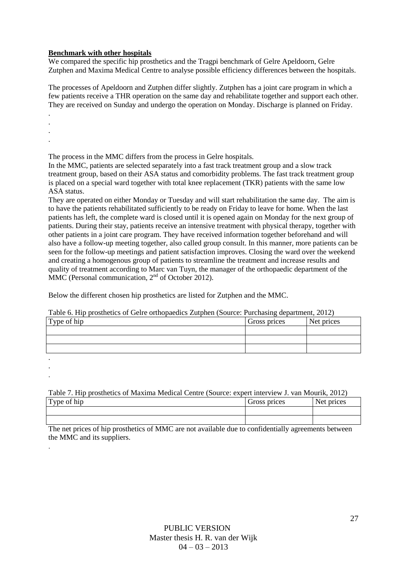### **Benchmark with other hospitals**

We compared the specific hip prosthetics and the Tragpi benchmark of Gelre Apeldoorn, Gelre Zutphen and Maxima Medical Centre to analyse possible efficiency differences between the hospitals.

The processes of Apeldoorn and Zutphen differ slightly. Zutphen has a joint care program in which a few patients receive a THR operation on the same day and rehabilitate together and support each other. They are received on Sunday and undergo the operation on Monday. Discharge is planned on Friday.

. .

.

.

. .

.

The process in the MMC differs from the process in Gelre hospitals.

In the MMC, patients are selected separately into a fast track treatment group and a slow track treatment group, based on their ASA status and comorbidity problems. The fast track treatment group is placed on a special ward together with total knee replacement (TKR) patients with the same low ASA status.

They are operated on either Monday or Tuesday and will start rehabilitation the same day. The aim is to have the patients rehabilitated sufficiently to be ready on Friday to leave for home. When the last patients has left, the complete ward is closed until it is opened again on Monday for the next group of patients. During their stay, patients receive an intensive treatment with physical therapy, together with other patients in a joint care program. They have received information together beforehand and will also have a follow-up meeting together, also called group consult. In this manner, more patients can be seen for the follow-up meetings and patient satisfaction improves. Closing the ward over the weekend and creating a homogenous group of patients to streamline the treatment and increase results and quality of treatment according to Marc van Tuyn, the manager of the orthopaedic department of the MMC (Personal communication,  $2<sup>nd</sup>$  of October 2012).

Below the different chosen hip prosthetics are listed for Zutphen and the MMC.

Table 6. Hip prosthetics of Gelre orthopaedics Zutphen (Source: Purchasing department, 2012)

| Type of hip | Gross prices | Net prices |
|-------------|--------------|------------|
|             |              |            |
|             |              |            |
|             |              |            |
|             |              |            |

Table 7. Hip prosthetics of Maxima Medical Centre (Source: expert interview J. van Mourik, 2012)

| $\sim$ $\sim$<br>$\mathbf{T}$<br>Type<br>h <sub>1</sub> p<br>-UI | prices<br>വശാ | $\sim$ $\sim$ $\sim$ $\sim$<br>.<br>৻৻ |
|------------------------------------------------------------------|---------------|----------------------------------------|
|                                                                  |               |                                        |
|                                                                  |               |                                        |

The net prices of hip prosthetics of MMC are not available due to confidentially agreements between the MMC and its suppliers.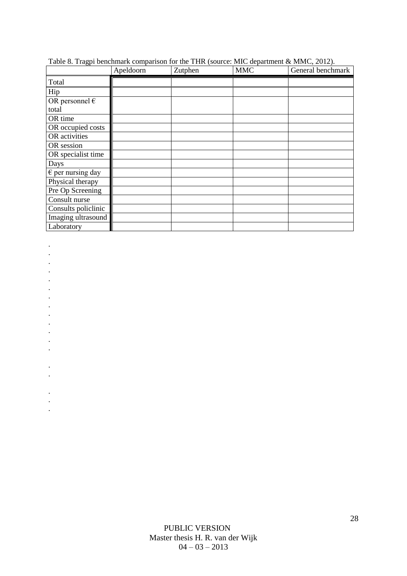|                            | Apeldoorn | Zutphen | <b>MMC</b> | General benchmark |
|----------------------------|-----------|---------|------------|-------------------|
| Total                      |           |         |            |                   |
| Hip                        |           |         |            |                   |
| OR personnel $\epsilon$    |           |         |            |                   |
| total                      |           |         |            |                   |
| OR time                    |           |         |            |                   |
| OR occupied costs          |           |         |            |                   |
| OR activities              |           |         |            |                   |
| OR session                 |           |         |            |                   |
| OR specialist time         |           |         |            |                   |
| Days                       |           |         |            |                   |
| $\epsilon$ per nursing day |           |         |            |                   |
| Physical therapy           |           |         |            |                   |
| Pre Op Screening           |           |         |            |                   |
| Consult nurse              |           |         |            |                   |
| Consults policlinic        |           |         |            |                   |
| Imaging ultrasound         |           |         |            |                   |
| Laboratory                 |           |         |            |                   |

Table 8. Tragpi benchmark comparison for the THR (source: MIC department & MMC, 2012).

- .
- .
- .
- . .
- .
- .
- .
- .
- . .
- .
- .
- .
- .
- 
- .
- .
- .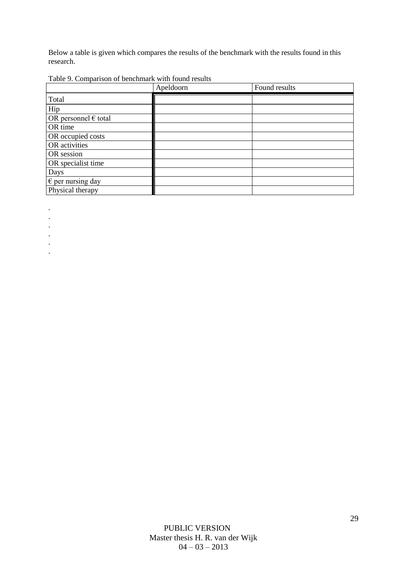Below a table is given which compares the results of the benchmark with the results found in this research.

Table 9. Comparison of benchmark with found results

|                                       | Apeldoorn | Found results |
|---------------------------------------|-----------|---------------|
| Total                                 |           |               |
| Hip                                   |           |               |
| OR personnel $\epsilon$ total         |           |               |
| OR time                               |           |               |
| OR occupied costs                     |           |               |
| OR activities                         |           |               |
| OR session                            |           |               |
| OR specialist time                    |           |               |
| Days                                  |           |               |
| $\overline{\epsilon}$ per nursing day |           |               |
| Physical therapy                      |           |               |

.

.

.

.

.

.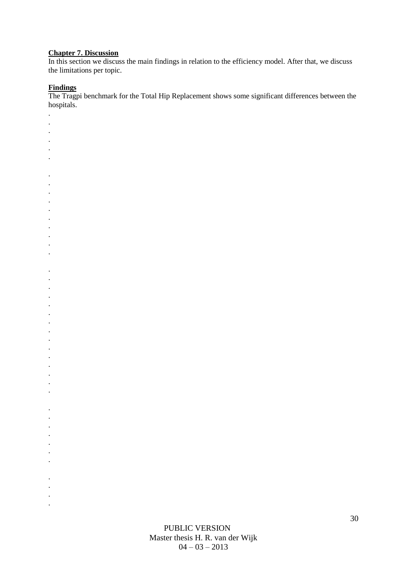## **Chapter 7. Discussion**

In this section we discuss the main findings in relation to the efficiency model. After that, we discuss the limitations per topic.

#### **Findings**

. . . . . .

. . . . . . . . . .

. . . . . . . . . . . . . . .

. . . . . . .

. . . .

The Tragpi benchmark for the Total Hip Replacement shows some significant differences between the hospitals.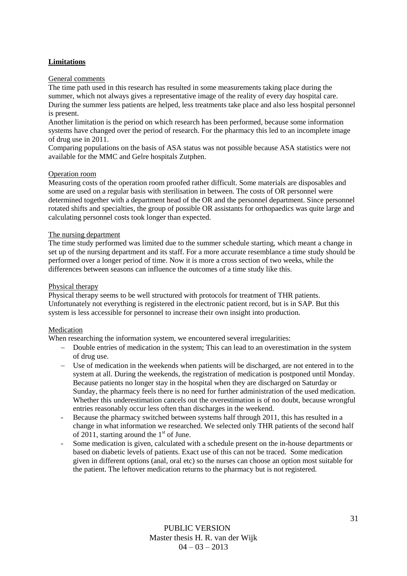## **Limitations**

#### General comments

The time path used in this research has resulted in some measurements taking place during the summer, which not always gives a representative image of the reality of every day hospital care. During the summer less patients are helped, less treatments take place and also less hospital personnel is present.

Another limitation is the period on which research has been performed, because some information systems have changed over the period of research. For the pharmacy this led to an incomplete image of drug use in 2011.

Comparing populations on the basis of ASA status was not possible because ASA statistics were not available for the MMC and Gelre hospitals Zutphen.

#### Operation room

Measuring costs of the operation room proofed rather difficult. Some materials are disposables and some are used on a regular basis with sterilisation in between. The costs of OR personnel were determined together with a department head of the OR and the personnel department. Since personnel rotated shifts and specialties, the group of possible OR assistants for orthopaedics was quite large and calculating personnel costs took longer than expected.

#### The nursing department

The time study performed was limited due to the summer schedule starting, which meant a change in set up of the nursing department and its staff. For a more accurate resemblance a time study should be performed over a longer period of time. Now it is more a cross section of two weeks, while the differences between seasons can influence the outcomes of a time study like this.

#### Physical therapy

Physical therapy seems to be well structured with protocols for treatment of THR patients. Unfortunately not everything is registered in the electronic patient record, but is in SAP. But this system is less accessible for personnel to increase their own insight into production.

#### Medication

When researching the information system, we encountered several irregularities:

- Double entries of medication in the system; This can lead to an overestimation in the system of drug use.
- Use of medication in the weekends when patients will be discharged, are not entered in to the system at all. During the weekends, the registration of medication is postponed until Monday. Because patients no longer stay in the hospital when they are discharged on Saturday or Sunday, the pharmacy feels there is no need for further administration of the used medication. Whether this underestimation cancels out the overestimation is of no doubt, because wrongful entries reasonably occur less often than discharges in the weekend.
- Because the pharmacy switched between systems half through 2011, this has resulted in a change in what information we researched. We selected only THR patients of the second half of 2011, starting around the  $1<sup>st</sup>$  of June.
- Some medication is given, calculated with a schedule present on the in-house departments or based on diabetic levels of patients. Exact use of this can not be traced. Some medication given in different options (anal, oral etc) so the nurses can choose an option most suitable for the patient. The leftover medication returns to the pharmacy but is not registered.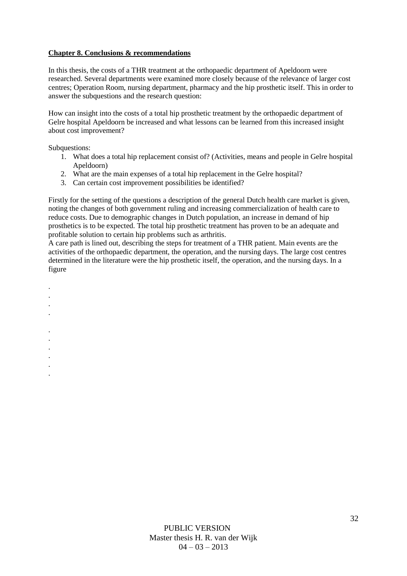## **Chapter 8. Conclusions & recommendations**

In this thesis, the costs of a THR treatment at the orthopaedic department of Apeldoorn were researched. Several departments were examined more closely because of the relevance of larger cost centres; Operation Room, nursing department, pharmacy and the hip prosthetic itself. This in order to answer the subquestions and the research question:

How can insight into the costs of a total hip prosthetic treatment by the orthopaedic department of Gelre hospital Apeldoorn be increased and what lessons can be learned from this increased insight about cost improvement?

Subquestions:

. . . .

> . . . . . .

- 1. What does a total hip replacement consist of? (Activities, means and people in Gelre hospital Apeldoorn)
- 2. What are the main expenses of a total hip replacement in the Gelre hospital?
- 3. Can certain cost improvement possibilities be identified?

Firstly for the setting of the questions a description of the general Dutch health care market is given, noting the changes of both government ruling and increasing commercialization of health care to reduce costs. Due to demographic changes in Dutch population, an increase in demand of hip prosthetics is to be expected. The total hip prosthetic treatment has proven to be an adequate and profitable solution to certain hip problems such as arthritis.

A care path is lined out, describing the steps for treatment of a THR patient. Main events are the activities of the orthopaedic department, the operation, and the nursing days. The large cost centres determined in the literature were the hip prosthetic itself, the operation, and the nursing days. In a figure

> PUBLIC VERSION Master thesis H. R. van der Wijk  $04 - 03 - 2013$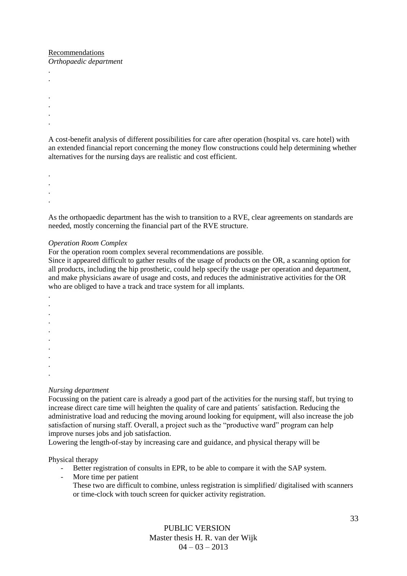## Recommendations

. .

> . .

*Orthopaedic department*

. . A cost-benefit analysis of different possibilities for care after operation (hospital vs. care hotel) with an extended financial report concerning the money flow constructions could help determining whether alternatives for the nursing days are realistic and cost efficient.

. . . .

As the orthopaedic department has the wish to transition to a RVE, clear agreements on standards are needed, mostly concerning the financial part of the RVE structure.

#### *Operation Room Complex*

For the operation room complex several recommendations are possible.

Since it appeared difficult to gather results of the usage of products on the OR, a scanning option for all products, including the hip prosthetic, could help specify the usage per operation and department, and make physicians aware of usage and costs, and reduces the administrative activities for the OR who are obliged to have a track and trace system for all implants.

. . . . . . . . . .

#### *Nursing department*

Focussing on the patient care is already a good part of the activities for the nursing staff, but trying to increase direct care time will heighten the quality of care and patients´ satisfaction. Reducing the administrative load and reducing the moving around looking for equipment, will also increase the job satisfaction of nursing staff. Overall, a project such as the "productive ward" program can help improve nurses jobs and job satisfaction.

Lowering the length-of-stay by increasing care and guidance, and physical therapy will be

Physical therapy

- Better registration of consults in EPR, to be able to compare it with the SAP system.
- More time per patient

These two are difficult to combine, unless registration is simplified/ digitalised with scanners or time-clock with touch screen for quicker activity registration.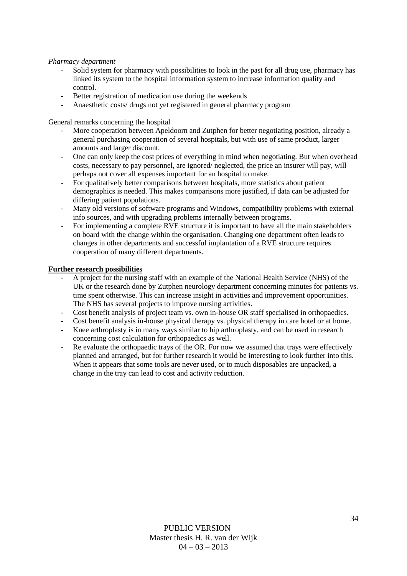#### *Pharmacy department*

- Solid system for pharmacy with possibilities to look in the past for all drug use, pharmacy has linked its system to the hospital information system to increase information quality and control.
- Better registration of medication use during the weekends
- Anaesthetic costs/ drugs not yet registered in general pharmacy program

General remarks concerning the hospital

- More cooperation between Apeldoorn and Zutphen for better negotiating position, already a general purchasing cooperation of several hospitals, but with use of same product, larger amounts and larger discount.
- One can only keep the cost prices of everything in mind when negotiating. But when overhead costs, necessary to pay personnel, are ignored/ neglected, the price an insurer will pay, will perhaps not cover all expenses important for an hospital to make.
- For qualitatively better comparisons between hospitals, more statistics about patient demographics is needed. This makes comparisons more justified, if data can be adjusted for differing patient populations.
- Many old versions of software programs and Windows, compatibility problems with external info sources, and with upgrading problems internally between programs.
- For implementing a complete RVE structure it is important to have all the main stakeholders on board with the change within the organisation. Changing one department often leads to changes in other departments and successful implantation of a RVE structure requires cooperation of many different departments.

#### **Further research possibilities**

- A project for the nursing staff with an example of the National Health Service (NHS) of the UK or the research done by Zutphen neurology department concerning minutes for patients vs. time spent otherwise. This can increase insight in activities and improvement opportunities. The NHS has several projects to improve nursing activities.
- Cost benefit analysis of project team vs. own in-house OR staff specialised in orthopaedics.
- Cost benefit analysis in-house physical therapy vs. physical therapy in care hotel or at home.
- Knee arthroplasty is in many ways similar to hip arthroplasty, and can be used in research concerning cost calculation for orthopaedics as well.
- Re evaluate the orthopaedic trays of the OR. For now we assumed that trays were effectively planned and arranged, but for further research it would be interesting to look further into this. When it appears that some tools are never used, or to much disposables are unpacked, a change in the tray can lead to cost and activity reduction.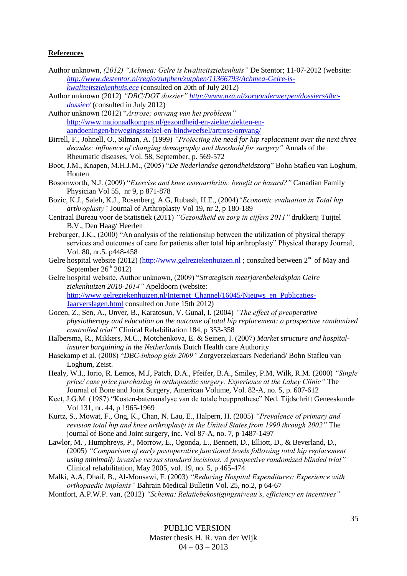#### **References**

- Author unknown, *(2012) "Achmea: Gelre is kwaliteitsziekenhuis"* De Stentor; 11-07-2012 (website: *[http://www.destentor.nl/regio/zutphen/zutphen/11366793/Achmea-Gelre-is](http://www.destentor.nl/regio/zutphen/zutphen/11366793/Achmea-Gelre-is-kwaliteitsziekenhuis.ece)[kwaliteitsziekenhuis.ece](http://www.destentor.nl/regio/zutphen/zutphen/11366793/Achmea-Gelre-is-kwaliteitsziekenhuis.ece)* (consulted on 20th of July 2012)
- Author unknown (2012) *"DBC/DOT dossier" [http://www.nza.nl/zorgonderwerpen/dossiers/dbc](http://www.nza.nl/zorgonderwerpen/dossiers/dbc-dossier/)[dossier/](http://www.nza.nl/zorgonderwerpen/dossiers/dbc-dossier/)* (consulted in July 2012)

Author unknown (2012) "*Artrose; omvang van het probleem"* [http://www.nationaalkompas.nl/gezondheid-en-ziekte/ziekten-en](http://www.nationaalkompas.nl/gezondheid-en-ziekte/ziekten-en-aandoeningen/bewegingsstelsel-en-bindweefsel/artrose/omvang/)[aandoeningen/bewegingsstelsel-en-bindweefsel/artrose/omvang/](http://www.nationaalkompas.nl/gezondheid-en-ziekte/ziekten-en-aandoeningen/bewegingsstelsel-en-bindweefsel/artrose/omvang/)

Birrell, F., Johnell, O., Silman, A. (1999) *"Projecting the need for hip replacement over the next three decades: influence of changing demography and threshold for surgery"* Annals of the Rheumatic diseases, Vol. 58, September, p. 569-572

- Boot, J.M., Knapen, M.H.J.M., (2005) "*De Nederlandse gezondheidszorg*" Bohn Stafleu van Loghum, Houten
- Bosomworth, N.J. (2009) "*Exercise and knee osteoarthritis: benefit or hazard?"* Canadian Family Physician Vol 55, nr 9, p 871-878
- Bozic, K.J., Saleh, K.J., Rosenberg, A.G, Rubash, H.E., (2004)*"Economic evaluation in Total hip arthroplasty"* Journal of Arthroplasty Vol 19, nr 2, p 180-189
- Centraal Bureau voor de Statistiek (2011) *"Gezondheid en zorg in cijfers 2011"* drukkerij Tuijtel B.V., Den Haag/ Heerlen
- Freburger, J.K., (2000) "An analysis of the relationship between the utilization of physical therapy services and outcomes of care for patients after total hip arthroplasty" Physical therapy Journal, Vol. 80, nr.5. p448-458
- Gelre hospital website (2012) ( $\frac{http://www.gelreziekenhuizen.nl}{http://www.gelreziekenhuizen.nl}$ ; consulted between  $2<sup>nd</sup>$  of May and September  $26<sup>th</sup> 2012$ )
- Gelre hospital website, Author unknown, (2009) "*Strategisch meerjarenbeleidsplan Gelre ziekenhuizen 2010-2014"* Apeldoorn (website: [http://www.gelreziekenhuizen.nl/Internet\\_Channel/16045/Nieuws\\_en\\_Publicaties-](http://www.gelreziekenhuizen.nl/Internet_Channel/16045/Nieuws_en_Publicaties-Jaarverslagen.html)[Jaarverslagen.html](http://www.gelreziekenhuizen.nl/Internet_Channel/16045/Nieuws_en_Publicaties-Jaarverslagen.html) consulted on June 15th 2012)
- Gocen, Z., Sen, A., Unver, B., Karatosun, V. Gunal, I. (2004) *"The effect of preoperative physiotherapy and education on the outcome of total hip replacement: a prospective randomized controlled trial"* Clinical Rehabilitation 184, p 353-358
- Halbersma, R., Mikkers, M.C., Motchenkova, E. & Seinen, I. (2007) *Market structure and hospitalinsurer bargaining in the Netherlands* Dutch Health care Authority
- Hasekamp et al. (2008) "*DBC-inkoop gids 2009"* Zorgverzekeraars Nederland/ Bohn Stafleu van Loghum, Zeist.
- Healy, W.I., Iorio, R. Lemos, M.J, Patch, D.A., Pfeifer, B.A., Smiley, P.M, Wilk, R.M. (2000) *"Single price/ case price purchasing in orthopaedic surgery: Experience at the Lahey Clinic"* The Journal of Bone and Joint Surgery, American Volume, Vol. 82-A, no. 5, p. 607-612
- Keet, J.G.M. (1987) "Kosten-batenanalyse van de totale heupprothese" Ned. Tijdschrift Geneeskunde Vol 131, nr. 44, p 1965-1969
- Kurtz, S., Mowat, F., Ong, K., Chan, N. Lau, E., Halpern, H. (2005) *"Prevalence of primary and revision total hip and knee arthroplasty in the United States from 1990 through 2002"* The journal of Bone and Joint surgery, inc. Vol 87-A, no. 7, p 1487-1497
- Lawlor, M. , Humphreys, P., Morrow, E., Ogonda, L., Bennett, D., Elliott, D., & Beverland, D., (2005) *"Comparison of early postoperative functional levels following total hip replacement using minimally invasive versus standard incisions. A prospective randomized blinded trial"* Clinical rehabilitation, May 2005, vol. 19, no. 5, p 465-474
- Malki, A.A, Dhaif, B., Al-Mousawi, F. (2003) *"Reducing Hospital Expenditures: Experience with orthopaedic implants"* Bahrain Medical Bulletin Vol. 25, no.2, p 64-67
- Montfort, A.P.W.P. van, (2012) *"Schema: Relatiebekostigingsniveau's, efficiency en incentives"*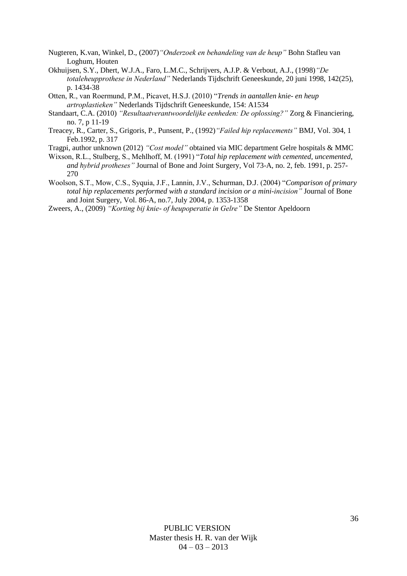- Nugteren, K.van, Winkel, D., (2007)*"Onderzoek en behandeling van de heup"* Bohn Stafleu van Loghum, Houten
- Okhuijsen, S.Y., Dhert, W.J.A., Faro, L.M.C., Schrijvers, A.J.P. & Verbout, A.J., (1998)*"De totaleheupprothese in Nederland"* Nederlands Tijdschrift Geneeskunde, 20 juni 1998, 142(25), p. 1434-38
- Otten, R., van Roermund, P.M., Picavet, H.S.J. (2010) "*Trends in aantallen knie- en heup artroplastieken"* Nederlands Tijdschrift Geneeskunde, 154: A1534
- Standaart, C.A. (2010) *"Resultaatverantwoordelijke eenheden: De oplossing?"* Zorg & Financiering, no. 7, p 11-19
- Treacey, R., Carter, S., Grigoris, P., Punsent, P., (1992)*"Failed hip replacements"* BMJ, Vol. 304, 1 Feb.1992, p. 317
- Tragpi, author unknown (2012) *"Cost model"* obtained via MIC department Gelre hospitals & MMC
- Wixson, R.L., Stulberg, S., Mehlhoff, M. (1991) "*Total hip replacement with cemented, uncemented, and hybrid protheses"* Journal of Bone and Joint Surgery, Vol 73-A, no. 2, feb. 1991, p. 257- 270
- Woolson, S.T., Mow, C.S., Syquia, J.F., Lannin, J.V., Schurman, D.J. (2004) "*Comparison of primary total hip replacements performed with a standard incision or a mini-incision"* Journal of Bone and Joint Surgery, Vol. 86-A, no.7, July 2004, p. 1353-1358

Zweers, A., (2009) *"Korting bij knie- of heupoperatie in Gelre"* De Stentor Apeldoorn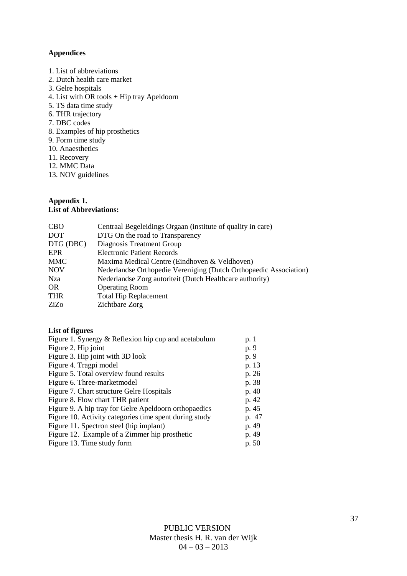## **Appendices**

- 1. List of abbreviations
- 2. Dutch health care market
- 3. Gelre hospitals
- 4. List with OR tools + Hip tray Apeldoorn
- 5. TS data time study
- 6. THR trajectory
- 7. DBC codes
- 8. Examples of hip prosthetics
- 9. Form time study
- 10. Anaesthetics
- 11. Recovery
- 12. MMC Data
- 13. NOV guidelines

## **Appendix 1.**

### **List of Abbreviations:**

| <b>CBO</b> | Centraal Begeleidings Orgaan (institute of quality in care)       |
|------------|-------------------------------------------------------------------|
| <b>DOT</b> | DTG On the road to Transparency                                   |
| DTG (DBC)  | Diagnosis Treatment Group                                         |
| <b>EPR</b> | <b>Electronic Patient Records</b>                                 |
| <b>MMC</b> | Maxima Medical Centre (Eindhoven & Veldhoven)                     |
| <b>NOV</b> | Nederlandse Orthopedie Vereniging (Dutch Orthopaedic Association) |
| <b>Nza</b> | Nederlandse Zorg autoriteit (Dutch Healthcare authority)          |
| OR.        | <b>Operating Room</b>                                             |
| <b>THR</b> | <b>Total Hip Replacement</b>                                      |
| ZiZo       | Zichtbare Zorg                                                    |
|            |                                                                   |

#### **List of figures**

| Figure 1. Synergy & Reflexion hip cup and acetabulum   | p. 1  |
|--------------------------------------------------------|-------|
| Figure 2. Hip joint                                    | p. 9  |
| Figure 3. Hip joint with 3D look                       | p. 9  |
| Figure 4. Tragpi model                                 | p. 13 |
| Figure 5. Total overview found results                 | p. 26 |
| Figure 6. Three-market model                           | p. 38 |
| Figure 7. Chart structure Gelre Hospitals              | p. 40 |
| Figure 8. Flow chart THR patient                       | p. 42 |
| Figure 9. A hip tray for Gelre Apeldoorn orthopaedics  | p. 45 |
| Figure 10. Activity categories time spent during study | p. 47 |
| Figure 11. Spectron steel (hip implant)                | p. 49 |
| Figure 12. Example of a Zimmer hip prosthetic          | p. 49 |
| Figure 13. Time study form                             | p. 50 |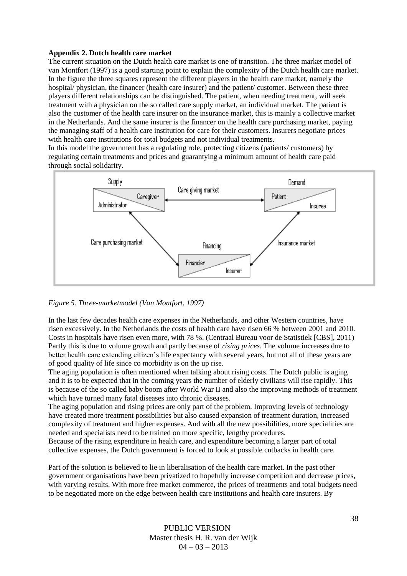### **Appendix 2. Dutch health care market**

The current situation on the Dutch health care market is one of transition. The three market model of van Montfort (1997) is a good starting point to explain the complexity of the Dutch health care market. In the figure the three squares represent the different players in the health care market, namely the hospital/ physician, the financer (health care insurer) and the patient/ customer. Between these three players different relationships can be distinguished. The patient, when needing treatment, will seek treatment with a physician on the so called care supply market, an individual market. The patient is also the customer of the health care insurer on the insurance market, this is mainly a collective market in the Netherlands. And the same insurer is the financer on the health care purchasing market, paying the managing staff of a health care institution for care for their customers. Insurers negotiate prices with health care institutions for total budgets and not individual treatments.

In this model the government has a regulating role, protecting citizens (patients/ customers) by regulating certain treatments and prices and guarantying a minimum amount of health care paid through social solidarity.



*Figure 5. Three-marketmodel (Van Montfort, 1997)*

In the last few decades health care expenses in the Netherlands, and other Western countries, have risen excessively. In the Netherlands the costs of health care have risen 66 % between 2001 and 2010. Costs in hospitals have risen even more, with 78 %. (Centraal Bureau voor de Statistiek [CBS], 2011) Partly this is due to volume growth and partly because of *rising prices*. The volume increases due to better health care extending citizen's life expectancy with several years, but not all of these years are of good quality of life since co morbidity is on the up rise.

The aging population is often mentioned when talking about rising costs. The Dutch public is aging and it is to be expected that in the coming years the number of elderly civilians will rise rapidly. This is because of the so called baby boom after World War II and also the improving methods of treatment which have turned many fatal diseases into chronic diseases.

The aging population and rising prices are only part of the problem. Improving levels of technology have created more treatment possibilities but also caused expansion of treatment duration, increased complexity of treatment and higher expenses. And with all the new possibilities, more specialities are needed and specialists need to be trained on more specific, lengthy procedures.

Because of the rising expenditure in health care, and expenditure becoming a larger part of total collective expenses, the Dutch government is forced to look at possible cutbacks in health care.

Part of the solution is believed to lie in liberalisation of the health care market. In the past other government organisations have been privatized to hopefully increase competition and decrease prices, with varying results. With more free market commerce, the prices of treatments and total budgets need to be negotiated more on the edge between health care institutions and health care insurers. By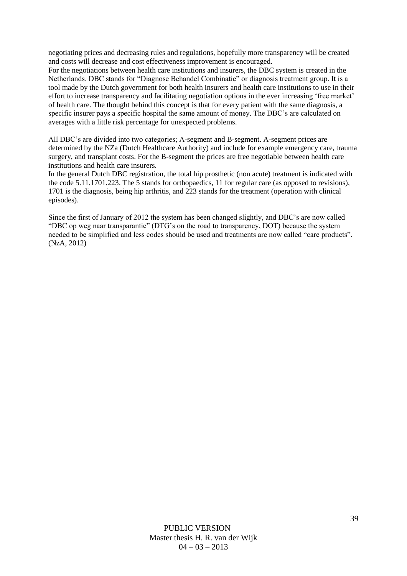negotiating prices and decreasing rules and regulations, hopefully more transparency will be created and costs will decrease and cost effectiveness improvement is encouraged.

For the negotiations between health care institutions and insurers, the DBC system is created in the Netherlands. DBC stands for "Diagnose Behandel Combinatie" or diagnosis treatment group. It is a tool made by the Dutch government for both health insurers and health care institutions to use in their effort to increase transparency and facilitating negotiation options in the ever increasing 'free market' of health care. The thought behind this concept is that for every patient with the same diagnosis, a specific insurer pays a specific hospital the same amount of money. The DBC's are calculated on averages with a little risk percentage for unexpected problems.

All DBC's are divided into two categories; A-segment and B-segment. A-segment prices are determined by the NZa (Dutch Healthcare Authority) and include for example emergency care, trauma surgery, and transplant costs. For the B-segment the prices are free negotiable between health care institutions and health care insurers.

In the general Dutch DBC registration, the total hip prosthetic (non acute) treatment is indicated with the code 5.11.1701.223. The 5 stands for orthopaedics, 11 for regular care (as opposed to revisions), 1701 is the diagnosis, being hip arthritis, and 223 stands for the treatment (operation with clinical episodes).

Since the first of January of 2012 the system has been changed slightly, and DBC's are now called "DBC op weg naar transparantie" (DTG's on the road to transparency, DOT) because the system needed to be simplified and less codes should be used and treatments are now called "care products". (NzA, 2012)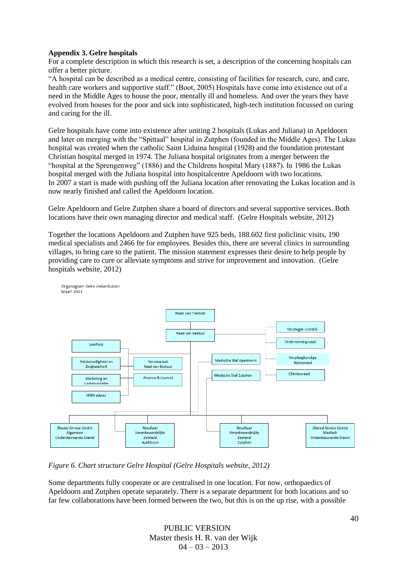## **Appendix 3. Gelre hospitals**

For a complete description in which this research is set, a description of the concerning hospitals can offer a better picture.

"A hospital can be described as a medical centre, consisting of facilities for research, cure, and care, health care workers and supportive staff." (Boot, 2005) Hospitals have come into existence out of a need in the Middle Ages to house the poor, mentally ill and homeless. And over the years they have evolved from houses for the poor and sick into sophisticated, high-tech institution focussed on curing and caring for the ill.

Gelre hospitals have come into existence after uniting 2 hospitals (Lukas and Juliana) in Apeldoorn and later on merging with the "Spittaal" hospital in Zutphen (founded in the Middle Ages). The Lukas hospital was created when the catholic Saint Liduina hospital (1928) and the foundation protestant Christian hospital merged in 1974. The Juliana hospital originates from a merger between the "hospital at the Sprengenweg" (1886) and the Childrens hospital Mary (1887). In 1986 the Lukas hospital merged with the Juliana hospital into hospitalcentre Apeldoorn with two locations. In 2007 a start is made with pushing off the Juliana location after renovating the Lukas location and is now nearly finished and called the Apeldoorn location.

Gelre Apeldoorn and Gelre Zutphen share a board of directors and several supportive services. Both locations have their own managing director and medical staff. (Gelre Hospitals website, 2012)

Together the locations Apeldoorn and Zutphen have 925 beds, 188.602 first policlinic visits, 190 medical specialists and 2466 fte for employees. Besides this, there are several clinics in surrounding villages, to bring care to the patient. The mission statement expresses their desire to help people by providing care to cure or alleviate symptoms and strive for improvement and innovation. (Gelre hospitals website, 2012)



*Figure 6. Chart structure Gelre Hospital (Gelre Hospitals website, 2012)*

Some departments fully cooperate or are centralised in one location. For now, orthopaedics of Apeldoorn and Zutphen operate separately. There is a separate department for both locations and so far few collaborations have been formed between the two, but this is on the up rise, with a possible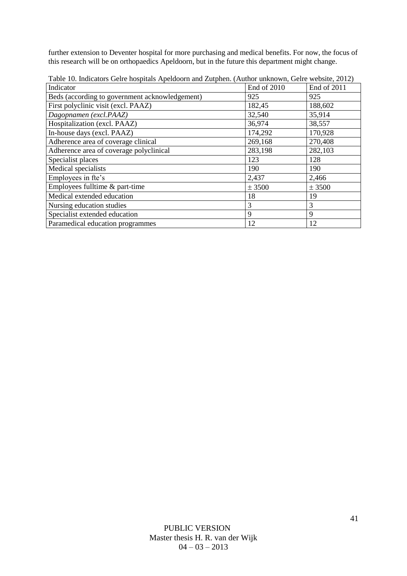further extension to Deventer hospital for more purchasing and medical benefits. For now, the focus of this research will be on orthopaedics Apeldoorn, but in the future this department might change.

| Indicator                                      | End of 2010 | End of 2011 |
|------------------------------------------------|-------------|-------------|
| Beds (according to government acknowledgement) | 925         | 925         |
| First polyclinic visit (excl. PAAZ)            | 182,45      | 188,602     |
| Dagopnamen (excl.PAAZ)                         | 32,540      | 35,914      |
| Hospitalization (excl. PAAZ)                   | 36,974      | 38,557      |
| In-house days (excl. PAAZ)                     | 174,292     | 170,928     |
| Adherence area of coverage clinical            | 269,168     | 270,408     |
| Adherence area of coverage polyclinical        | 283,198     | 282,103     |
| Specialist places                              | 123         | 128         |
| Medical specialists                            | 190         | 190         |
| Employees in fte's                             | 2,437       | 2,466       |
| Employees fulltime & part-time                 | ± 3500      | ± 3500      |
| Medical extended education                     | 18          | 19          |
| Nursing education studies                      | 3           | 3           |
| Specialist extended education                  | 9           | 9           |
| Paramedical education programmes               | 12          | 12          |

Table 10. Indicators Gelre hospitals Apeldoorn and Zutphen. (Author unknown, Gelre website, 2012)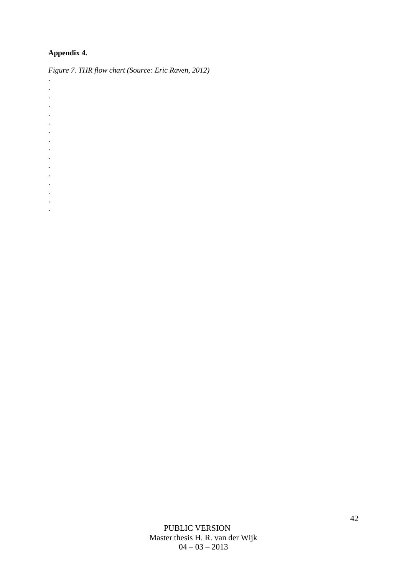## **Appendix 4.**

. . . . . . . . . . . . . . . .

*Figure 7. THR flow chart (Source: Eric Raven, 2012)*

PUBLIC VERSION Master thesis H. R. van der Wijk  $04 - 03 - 2013$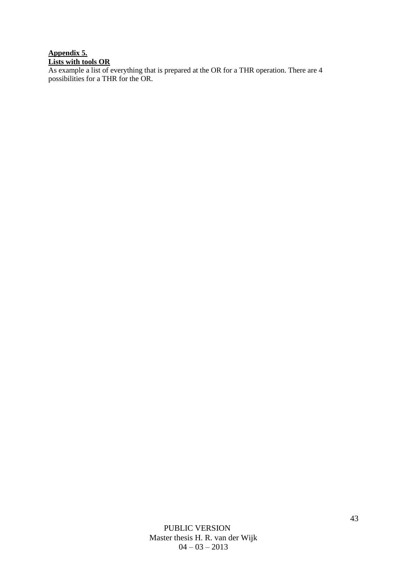## **Appendix 5. Lists with tools OR**

As example a list of everything that is prepared at the OR for a THR operation. There are 4 possibilities for a THR for the OR.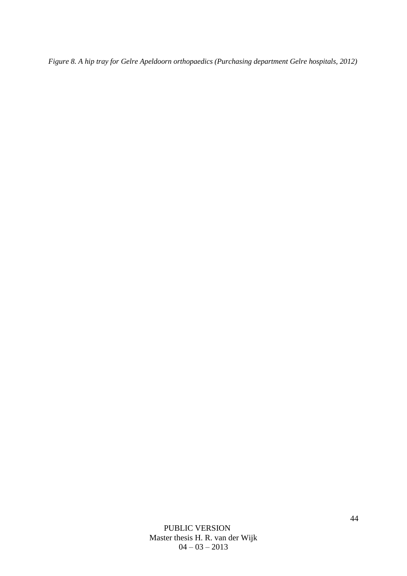*Figure 8. A hip tray for Gelre Apeldoorn orthopaedics (Purchasing department Gelre hospitals, 2012)*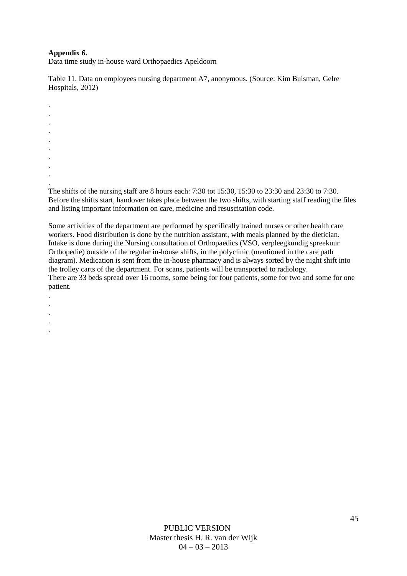## **Appendix 6.**

. . .

Data time study in-house ward Orthopaedics Apeldoorn

Table 11. Data on employees nursing department A7, anonymous. (Source: Kim Buisman, Gelre Hospitals, 2012)

. . . . . . . The shifts of the nursing staff are 8 hours each: 7:30 tot 15:30, 15:30 to 23:30 and 23:30 to 7:30.

Before the shifts start, handover takes place between the two shifts, with starting staff reading the files and listing important information on care, medicine and resuscitation code.

Some activities of the department are performed by specifically trained nurses or other health care workers. Food distribution is done by the nutrition assistant, with meals planned by the dietician. Intake is done during the Nursing consultation of Orthopaedics (VSO, verpleegkundig spreekuur Orthopedie) outside of the regular in-house shifts, in the polyclinic (mentioned in the care path diagram). Medication is sent from the in-house pharmacy and is always sorted by the night shift into the trolley carts of the department. For scans, patients will be transported to radiology. There are 33 beds spread over 16 rooms, some being for four patients, some for two and some for one patient.

. .

.

.

.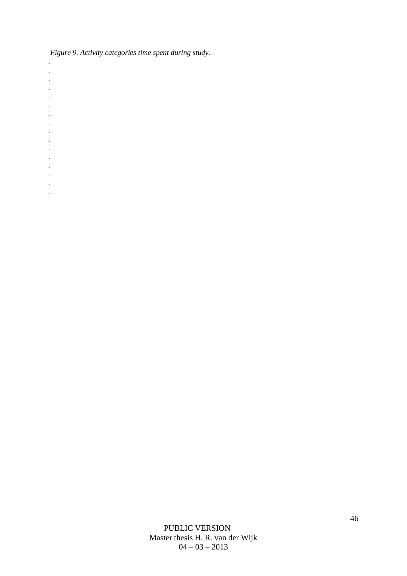*Figure 9. Activity categories time spent during study.* 

- *. .*
- *.*
- *.*
- *.*
- *.*
- *.*
- *.*
- *.*
- *.*
- *.*
- *.*
- *.*
- *.*
- *.*
- *.*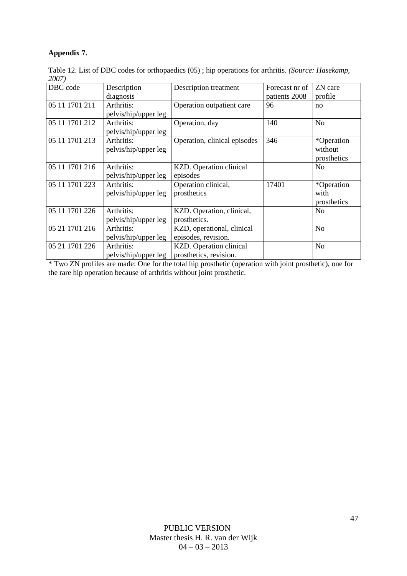## **Appendix 7.**

Table 12. List of DBC codes for orthopaedics (05) ; hip operations for arthritis. *(Source: Hasekamp, 2007)*

| ----           |                      |                              |                |                |
|----------------|----------------------|------------------------------|----------------|----------------|
| DBC code       | Description          | Description treatment        | Forecast nr of | ZN care        |
|                | diagnosis            |                              | patients 2008  | profile        |
| 05 11 1701 211 | Arthritis:           | Operation outpatient care    | 96             | no             |
|                | pelvis/hip/upper leg |                              |                |                |
| 05 11 1701 212 | Arthritis:           | Operation, day               | 140            | N <sub>o</sub> |
|                | pelvis/hip/upper leg |                              |                |                |
| 05 11 1701 213 | Arthritis:           | Operation, clinical episodes | 346            | *Operation     |
|                | pelvis/hip/upper leg |                              |                | without        |
|                |                      |                              |                | prosthetics    |
| 05 11 1701 216 | Arthritis:           | KZD. Operation clinical      |                | N <sub>o</sub> |
|                | pelvis/hip/upper leg | episodes                     |                |                |
| 05 11 1701 223 | Arthritis:           | Operation clinical,          | 17401          | *Operation     |
|                | pelvis/hip/upper leg | prosthetics                  |                | with           |
|                |                      |                              |                | prosthetics    |
| 05 11 1701 226 | Arthritis:           | KZD. Operation, clinical,    |                | No             |
|                | pelvis/hip/upper leg | prosthetics.                 |                |                |
| 05 21 1701 216 | Arthritis:           | KZD, operational, clinical   |                | N <sub>o</sub> |
|                | pelvis/hip/upper leg | episodes, revision.          |                |                |
| 05 21 1701 226 | Arthritis:           | KZD. Operation clinical      |                | N <sub>o</sub> |
|                | pelvis/hip/upper leg | prosthetics, revision.       |                |                |

\* Two ZN profiles are made: One for the total hip prosthetic (operation with joint prosthetic), one for the rare hip operation because of arthritis without joint prosthetic.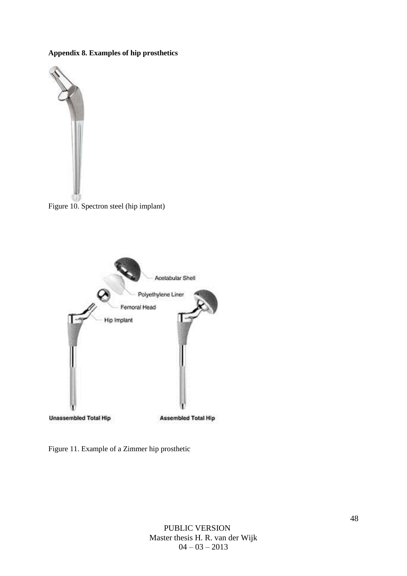## **Appendix 8. Examples of hip prosthetics**



Figure 10. Spectron steel (hip implant)



Figure 11. Example of a Zimmer hip prosthetic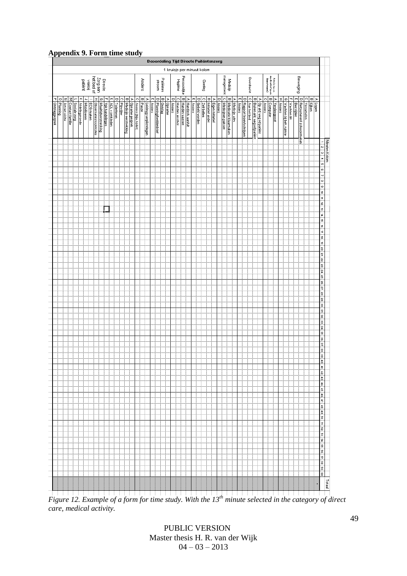#### **Appendix 9. Form time study**

| ÷               |          |                                      |                       |                |             |                  |                              |                      |                 |   |                |             |            |                       |                |                       |         |                         |               |                      | <b>Beoordeling Tijd Directe Paitentenzorg</b> |        |            |                            |                 |                    |        |                      |             |                           |                  |        |                    |                      |                |   |        |                           |             |                            |                        |        |                                               |              |        |                         |                     |                  |                                 |            |                      |                                                                                                                                                                                                                                                                                                                               |
|-----------------|----------|--------------------------------------|-----------------------|----------------|-------------|------------------|------------------------------|----------------------|-----------------|---|----------------|-------------|------------|-----------------------|----------------|-----------------------|---------|-------------------------|---------------|----------------------|-----------------------------------------------|--------|------------|----------------------------|-----------------|--------------------|--------|----------------------|-------------|---------------------------|------------------|--------|--------------------|----------------------|----------------|---|--------|---------------------------|-------------|----------------------------|------------------------|--------|-----------------------------------------------|--------------|--------|-------------------------|---------------------|------------------|---------------------------------|------------|----------------------|-------------------------------------------------------------------------------------------------------------------------------------------------------------------------------------------------------------------------------------------------------------------------------------------------------------------------------|
|                 |          |                                      |                       |                |             |                  |                              |                      |                 |   |                |             |            |                       |                |                       |         |                         |               |                      |                                               |        |            | 1 kruisje per minuut kolom |                 |                    |        |                      |             |                           |                  |        |                    |                      |                |   |        |                           |             |                            |                        |        |                                               |              |        |                         |                     |                  |                                 |            |                      |                                                                                                                                                                                                                                                                                                                               |
|                 |          |                                      |                       |                | patiënt     | vlakbij          | Zorg aan<br>het bed of       |                      | Directe         |   |                |             |            |                       |                |                       | Anders  |                         |               | stroom               | Patiënten                                     |        |            | Hygiëne                    | Persoonlijke    |                    |        |                      | Derleg      |                           |                  |        | management         | Medicijn             |                |   |        |                           | Overdracht  |                            |                        |        | Mdmin (qoon<br>modicatiof qoon<br>daarrtraam) |              |        |                         |                     |                  | Beweging                        |            |                      |                                                                                                                                                                                                                                                                                                                               |
|                 | $\circ$  |                                      |                       | ᄎ              | ċ,          |                  | I                            | $\varpi$             |                 | T | m              | o           | $\bigcirc$ | $\varpi$              | Þ              | $\bigcirc$            | B Pauze | ъ                       | m             | $\Box$               | w                                             | ×      | [D] Anders | lо                         |                 |                    | m      | $\hbox{ }$           | $\bigcirc$  |                           | Þ                | $\Box$ |                    |                      | $\overline{a}$ | ъ | m      |                           | $\circ$     | ω                          | œ                      | O      | $\varpi$                                      | œ            | I      | டை                      | F                   | m                | O                               | $\bigcirc$ | <b>B</b> Kiken<br> ≫ |                                                                                                                                                                                                                                                                                                                               |
| P ontslagesprek | Planning | N Artsen visite<br>M Contact familie | <b>Prose ale zorg</b> | Afdelingsronde | Mobiliseren | <b>ECG maken</b> | <b>Diservaties/controles</b> | Maaltijdverstrekking | Vpk handelingen |   | ADL + omkleden | Toiletteren | Pincifer   | Medicijn verstrekking | Opname gesprek | Anders (biju. toilet) |         | Leidingg verplichtingen | <b>Anders</b> | Planning/beddenbrief | Ontslag                                       | Opname |            | Handen alcohol             | B Handen wassen | A Handsch. aanluit | Anders | <b>Gebeld worden</b> | Zelf bellen | <b>B</b> Initiatief ander | Eigen initiatief | Anders | C Medicinen pakken | Medicatie klaarmaken | Medicijn adm   |   | Anders | D Rapport lezen/schrijven | Aan het bed | Buiten afd. weg vd patiënt | Op atd. weg vd patiënt | Anders | computer                                      | Verpleegpost | Anders | Wachten bij beh. ruimte | <b>Wachten lift</b> | <b>Bedrijden</b> | <b>Retournerent schoonmaken</b> | Verzamelen | Lopen                |                                                                                                                                                                                                                                                                                                                               |
|                 |          |                                      |                       |                |             |                  |                              |                      |                 |   |                |             |            |                       |                |                       |         |                         |               |                      |                                               |        |            |                            |                 |                    |        |                      |             |                           |                  |        |                    |                      |                |   |        |                           |             |                            |                        |        |                                               |              |        |                         |                     |                  |                                 |            |                      |                                                                                                                                                                                                                                                                                                                               |
|                 |          |                                      |                       |                |             |                  |                              |                      |                 |   |                |             |            |                       |                |                       |         |                         |               |                      |                                               |        |            |                            |                 |                    |        |                      |             |                           |                  |        |                    |                      |                |   |        |                           |             |                            |                        |        |                                               |              |        |                         |                     |                  |                                 |            |                      | Minuten Kolom<br>1   2   3   4   5   3                                                                                                                                                                                                                                                                                        |
|                 |          |                                      |                       |                |             |                  |                              |                      |                 |   |                |             |            |                       |                |                       |         |                         |               |                      |                                               |        |            |                            |                 |                    |        |                      |             |                           |                  |        |                    |                      |                |   |        |                           |             |                            |                        |        |                                               |              |        |                         |                     |                  |                                 |            |                      |                                                                                                                                                                                                                                                                                                                               |
|                 |          |                                      |                       |                |             |                  |                              |                      |                 |   |                |             |            |                       |                |                       |         |                         |               |                      |                                               |        |            |                            |                 |                    |        |                      |             |                           |                  |        |                    |                      |                |   |        |                           |             |                            |                        |        |                                               |              |        |                         |                     |                  |                                 |            |                      |                                                                                                                                                                                                                                                                                                                               |
|                 |          |                                      |                       |                |             |                  |                              |                      |                 |   |                |             |            |                       |                |                       |         |                         |               |                      |                                               |        |            |                            |                 |                    |        |                      |             |                           |                  |        |                    |                      |                |   |        |                           |             |                            |                        |        |                                               |              |        |                         |                     |                  |                                 |            |                      | $\begin{bmatrix} 1 & 0 & 0 & 0 & 0 \\ 0 & 0 & 0 & 0 \\ 0 & 0 & 0 & 0 \\ 0 & 0 & 0 & 0 \\ 0 & 0 & 0 & 0 \\ 0 & 0 & 0 & 0 \\ 0 & 0 & 0 & 0 \\ 0 & 0 & 0 & 0 \\ 0 & 0 & 0 & 0 \\ 0 & 0 & 0 & 0 \\ 0 & 0 & 0 & 0 & 0 \\ 0 & 0 & 0 & 0 & 0 \\ 0 & 0 & 0 & 0 & 0 \\ 0 & 0 & 0 & 0 & 0 \\ 0 & 0 & 0 & 0 & 0 & 0 \\ 0 & 0 & 0 & 0 & $ |
|                 |          |                                      |                       |                |             |                  |                              |                      |                 |   |                |             |            |                       |                |                       |         |                         |               |                      |                                               |        |            |                            |                 |                    |        |                      |             |                           |                  |        |                    |                      |                |   |        |                           |             |                            |                        |        |                                               |              |        |                         |                     |                  |                                 |            |                      |                                                                                                                                                                                                                                                                                                                               |
|                 |          |                                      |                       |                |             |                  |                              |                      |                 |   |                |             |            |                       |                |                       |         |                         |               |                      |                                               |        |            |                            |                 |                    |        |                      |             |                           |                  |        |                    |                      |                |   |        |                           |             |                            |                        |        |                                               |              |        |                         |                     |                  |                                 |            |                      |                                                                                                                                                                                                                                                                                                                               |
|                 |          |                                      |                       |                |             |                  |                              |                      |                 |   |                |             |            |                       |                |                       |         |                         |               |                      |                                               |        |            |                            |                 |                    |        |                      |             |                           |                  |        |                    |                      |                |   |        |                           |             |                            |                        |        |                                               |              |        |                         |                     |                  |                                 |            |                      |                                                                                                                                                                                                                                                                                                                               |
|                 |          |                                      |                       |                |             |                  |                              |                      |                 |   |                |             |            |                       |                |                       |         |                         |               |                      |                                               |        |            |                            |                 |                    |        |                      |             |                           |                  |        |                    |                      |                |   |        |                           |             |                            |                        |        |                                               |              |        |                         |                     |                  |                                 |            |                      | $\bm{n}$ $\bm{n}$ $\bm{n}$ $\bm{n}$ $\bm{n}$ $\bm{n}$ $\bm{n}$ $\bm{n}$ $\bm{n}$ $\bm{n}$ $\bm{n}$ $\bm{n}$ $\bm{n}$ $\bm{n}$ $\bm{n}$ $\bm{n}$ $\bm{n}$ $\bm{n}$ $\bm{n}$ $\bm{n}$ $\bm{n}$ $\bm{n}$ $\bm{n}$ $\bm{n}$ $\bm{n}$ $\bm{n}$ $\bm{n}$ $\bm{n}$ $\bm{n}$ $\bm{n}$ $\bm{n}$ $\bm{n$                                |
|                 |          |                                      |                       |                |             |                  |                              |                      |                 |   |                |             |            |                       |                |                       |         |                         |               |                      |                                               |        |            |                            |                 |                    |        |                      |             |                           |                  |        |                    |                      |                |   |        |                           |             |                            |                        |        |                                               |              |        |                         |                     |                  |                                 |            |                      |                                                                                                                                                                                                                                                                                                                               |
|                 |          |                                      |                       |                |             |                  |                              |                      |                 |   |                |             |            |                       |                |                       |         |                         |               |                      |                                               |        |            |                            |                 |                    |        |                      |             |                           |                  |        |                    |                      |                |   |        |                           |             |                            |                        |        |                                               |              |        |                         |                     |                  |                                 |            |                      |                                                                                                                                                                                                                                                                                                                               |
|                 |          |                                      |                       |                |             |                  |                              |                      |                 |   |                |             |            |                       |                |                       |         |                         |               |                      |                                               |        |            |                            |                 |                    |        |                      |             |                           |                  |        |                    |                      |                |   |        |                           |             |                            |                        |        |                                               |              |        |                         |                     |                  |                                 |            |                      |                                                                                                                                                                                                                                                                                                                               |
|                 |          |                                      |                       |                |             |                  |                              |                      |                 |   |                |             |            |                       |                |                       |         |                         |               |                      |                                               |        |            |                            |                 |                    |        |                      |             |                           |                  |        |                    |                      |                |   |        |                           |             |                            |                        |        |                                               |              |        |                         |                     |                  |                                 |            |                      |                                                                                                                                                                                                                                                                                                                               |
|                 |          |                                      |                       |                |             |                  |                              |                      |                 |   |                |             |            |                       |                |                       |         |                         |               |                      |                                               |        |            |                            |                 |                    |        |                      |             |                           |                  |        |                    |                      |                |   |        |                           |             |                            |                        |        |                                               |              |        |                         |                     |                  |                                 |            |                      |                                                                                                                                                                                                                                                                                                                               |
|                 |          |                                      |                       |                |             |                  |                              |                      |                 |   |                |             |            |                       |                |                       |         |                         |               |                      |                                               |        |            |                            |                 |                    |        |                      |             |                           |                  |        |                    |                      |                |   |        |                           |             |                            |                        |        |                                               |              |        |                         |                     |                  |                                 |            |                      |                                                                                                                                                                                                                                                                                                                               |
|                 |          |                                      |                       |                |             |                  |                              |                      |                 |   |                |             |            |                       |                |                       |         |                         |               |                      |                                               |        |            |                            |                 |                    |        |                      |             |                           |                  |        |                    |                      |                |   |        |                           |             |                            |                        |        |                                               |              |        |                         |                     |                  |                                 |            |                      |                                                                                                                                                                                                                                                                                                                               |
|                 |          |                                      |                       |                |             |                  |                              |                      |                 |   |                |             |            |                       |                |                       |         |                         |               |                      |                                               |        |            |                            |                 |                    |        |                      |             |                           |                  |        |                    |                      |                |   |        |                           |             |                            |                        |        |                                               |              |        |                         |                     |                  |                                 |            |                      |                                                                                                                                                                                                                                                                                                                               |
|                 |          |                                      |                       |                |             |                  |                              |                      |                 |   |                |             |            |                       |                |                       |         |                         |               |                      |                                               |        |            |                            |                 |                    |        |                      |             |                           |                  |        |                    |                      |                |   |        |                           |             |                            |                        |        |                                               |              |        |                         |                     |                  |                                 |            |                      |                                                                                                                                                                                                                                                                                                                               |
|                 |          |                                      |                       |                |             |                  |                              |                      |                 |   |                |             |            |                       |                |                       |         |                         |               |                      |                                               |        |            |                            |                 |                    |        |                      |             |                           |                  |        |                    |                      |                |   |        |                           |             |                            |                        |        |                                               |              |        |                         |                     |                  |                                 |            |                      |                                                                                                                                                                                                                                                                                                                               |
|                 |          |                                      |                       |                |             |                  |                              |                      |                 |   |                |             |            |                       |                |                       |         |                         |               |                      |                                               |        |            |                            |                 |                    |        |                      |             |                           |                  |        |                    |                      |                |   |        |                           |             |                            |                        |        |                                               |              |        |                         |                     |                  |                                 |            |                      |                                                                                                                                                                                                                                                                                                                               |
|                 |          |                                      |                       |                |             |                  |                              |                      |                 |   |                |             |            |                       |                |                       |         |                         |               |                      |                                               |        |            |                            |                 |                    |        |                      |             |                           |                  |        |                    |                      |                |   |        |                           |             |                            |                        |        |                                               |              |        |                         |                     |                  |                                 |            |                      |                                                                                                                                                                                                                                                                                                                               |
|                 |          |                                      |                       |                |             |                  |                              |                      |                 |   |                |             |            |                       |                |                       |         |                         |               |                      |                                               |        |            |                            |                 |                    |        |                      |             |                           |                  |        |                    |                      |                |   |        |                           |             |                            |                        |        |                                               |              |        |                         |                     |                  |                                 |            |                      |                                                                                                                                                                                                                                                                                                                               |
|                 |          |                                      |                       |                |             |                  |                              |                      |                 |   |                |             |            |                       |                |                       |         |                         |               |                      |                                               |        |            |                            |                 |                    |        |                      |             |                           |                  |        |                    |                      |                |   |        |                           |             |                            |                        |        |                                               |              |        |                         |                     |                  |                                 |            |                      |                                                                                                                                                                                                                                                                                                                               |
|                 |          |                                      |                       |                |             |                  |                              |                      |                 |   |                |             |            |                       |                |                       |         |                         |               |                      |                                               |        |            |                            |                 |                    |        |                      |             |                           |                  |        |                    |                      |                |   |        |                           |             |                            |                        |        |                                               |              |        |                         |                     |                  |                                 |            |                      |                                                                                                                                                                                                                                                                                                                               |
|                 |          |                                      |                       |                |             |                  |                              |                      |                 |   |                |             |            |                       |                |                       |         |                         |               |                      |                                               |        |            |                            |                 |                    |        |                      |             |                           |                  |        |                    |                      |                |   |        |                           |             |                            |                        |        |                                               |              |        |                         |                     |                  |                                 |            |                      |                                                                                                                                                                                                                                                                                                                               |
|                 |          |                                      |                       |                |             |                  |                              |                      |                 |   |                |             |            |                       |                |                       |         |                         |               |                      |                                               |        |            |                            |                 |                    |        |                      |             |                           |                  |        |                    |                      |                |   |        |                           |             |                            |                        |        |                                               |              |        |                         |                     |                  |                                 |            |                      |                                                                                                                                                                                                                                                                                                                               |
|                 |          |                                      |                       |                |             |                  |                              |                      |                 |   |                |             |            |                       |                |                       |         |                         |               |                      |                                               |        |            |                            |                 |                    |        |                      |             |                           |                  |        |                    |                      |                |   |        |                           |             |                            |                        |        |                                               |              |        |                         |                     |                  |                                 |            |                      |                                                                                                                                                                                                                                                                                                                               |
|                 |          |                                      |                       |                |             |                  |                              |                      |                 |   |                |             |            |                       |                |                       |         |                         |               |                      |                                               |        |            |                            |                 |                    |        |                      |             |                           |                  |        |                    |                      |                |   |        |                           |             |                            |                        |        |                                               |              |        |                         |                     |                  |                                 |            |                      |                                                                                                                                                                                                                                                                                                                               |
|                 |          |                                      |                       |                |             |                  |                              |                      |                 |   |                |             |            |                       |                |                       |         |                         |               |                      |                                               |        |            |                            |                 |                    |        |                      |             |                           |                  |        |                    |                      |                |   |        |                           |             |                            |                        |        |                                               |              |        |                         |                     |                  |                                 |            |                      |                                                                                                                                                                                                                                                                                                                               |
|                 |          |                                      |                       |                |             |                  |                              |                      |                 |   |                |             |            |                       |                |                       |         |                         |               |                      |                                               |        |            |                            |                 |                    |        |                      |             |                           |                  |        |                    |                      |                |   |        |                           |             |                            |                        |        |                                               |              |        |                         |                     |                  |                                 |            |                      |                                                                                                                                                                                                                                                                                                                               |
|                 |          |                                      |                       |                |             |                  |                              |                      |                 |   |                |             |            |                       |                |                       |         |                         |               |                      |                                               |        |            |                            |                 |                    |        |                      |             |                           |                  |        |                    |                      |                |   |        |                           |             |                            |                        |        |                                               |              |        |                         |                     |                  |                                 |            |                      |                                                                                                                                                                                                                                                                                                                               |
|                 |          |                                      |                       |                |             |                  |                              |                      |                 |   |                |             |            |                       |                |                       |         |                         |               |                      |                                               |        |            |                            |                 |                    |        |                      |             |                           |                  |        |                    |                      |                |   |        |                           |             |                            |                        |        |                                               |              |        |                         |                     |                  |                                 |            |                      |                                                                                                                                                                                                                                                                                                                               |
|                 |          |                                      |                       |                |             |                  |                              |                      |                 |   |                |             |            |                       |                |                       |         |                         |               |                      |                                               |        |            |                            |                 |                    |        |                      |             |                           |                  |        |                    |                      |                |   |        |                           |             |                            |                        |        |                                               |              |        |                         |                     |                  |                                 |            |                      |                                                                                                                                                                                                                                                                                                                               |
|                 |          |                                      |                       |                |             |                  |                              |                      |                 |   |                |             |            |                       |                |                       |         |                         |               |                      |                                               |        |            |                            |                 |                    |        |                      |             |                           |                  |        |                    |                      |                |   |        |                           |             |                            |                        |        |                                               |              |        |                         |                     |                  |                                 |            |                      |                                                                                                                                                                                                                                                                                                                               |
|                 |          |                                      |                       |                |             |                  |                              |                      |                 |   |                |             |            |                       |                |                       |         |                         |               |                      |                                               |        |            |                            |                 |                    |        |                      |             |                           |                  |        |                    |                      |                |   |        |                           |             |                            |                        |        |                                               |              |        |                         |                     |                  |                                 |            |                      | $41 \mid 42 \mid 43 \mid 44 \mid 45 \mid 46 \mid 47 \mid 48 \mid 49 \mid 50 \mid 51 \mid 52 \mid 53 \mid 54 \mid 55 \mid 55 \mid 57 \mid 58 \mid 59 \mid 60$                                                                                                                                                                  |
|                 |          |                                      |                       |                |             |                  |                              |                      |                 |   |                |             |            |                       |                |                       |         |                         |               |                      |                                               |        |            |                            |                 |                    |        |                      |             |                           |                  |        |                    |                      |                |   |        |                           |             |                            |                        |        |                                               |              |        |                         |                     |                  |                                 |            |                      |                                                                                                                                                                                                                                                                                                                               |
|                 |          |                                      |                       |                |             |                  |                              |                      |                 |   |                |             |            |                       |                |                       |         |                         |               |                      |                                               |        |            |                            |                 |                    |        |                      |             |                           |                  |        |                    |                      |                |   |        |                           |             |                            |                        |        |                                               |              |        |                         |                     |                  |                                 |            |                      |                                                                                                                                                                                                                                                                                                                               |
|                 |          |                                      |                       |                |             |                  |                              |                      |                 |   |                |             |            |                       |                |                       |         |                         |               |                      |                                               |        |            |                            |                 |                    |        |                      |             |                           |                  |        |                    |                      |                |   |        |                           |             |                            |                        |        |                                               |              |        |                         |                     |                  |                                 |            |                      |                                                                                                                                                                                                                                                                                                                               |
|                 |          |                                      |                       |                |             |                  |                              |                      |                 |   |                |             |            |                       |                |                       |         |                         |               |                      |                                               |        |            |                            |                 |                    |        |                      |             |                           |                  |        |                    |                      |                |   |        |                           |             |                            |                        |        |                                               |              |        |                         |                     |                  |                                 |            |                      | Totaal                                                                                                                                                                                                                                                                                                                        |
|                 |          |                                      |                       |                |             |                  |                              |                      |                 |   |                |             |            |                       |                |                       |         |                         |               |                      |                                               |        |            |                            |                 |                    |        |                      |             |                           |                  |        |                    |                      |                |   |        |                           |             |                            |                        |        |                                               |              |        |                         |                     |                  |                                 |            |                      |                                                                                                                                                                                                                                                                                                                               |

*Figure 12. Example of a form for time study. With the 13th minute selected in the category of direct care, medical activity.*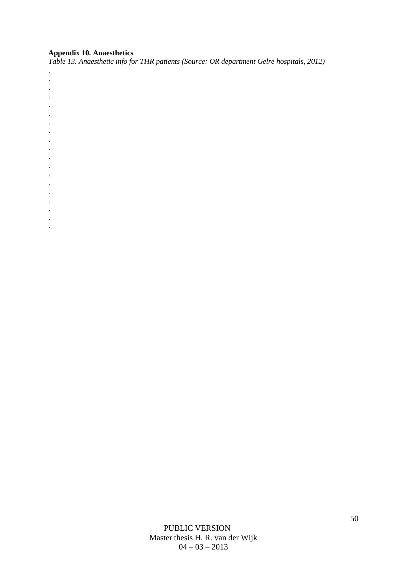## **Appendix 10. Anaesthetics**

. . . . . . . . . . . . . . . . . . .

*Table 13. Anaesthetic info for THR patients (Source: OR department Gelre hospitals, 2012)*

PUBLIC VERSION Master thesis H. R. van der Wijk  $04 - 03 - 2013$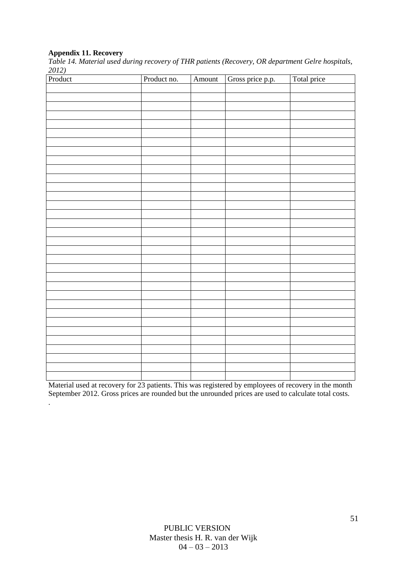## **Appendix 11. Recovery**

.

*Table 14. Material used during recovery of THR patients (Recovery, OR department Gelre hospitals, 2012)* 

| Product | Product no. | Amount | Gross price p.p. | Total price |
|---------|-------------|--------|------------------|-------------|
|         |             |        |                  |             |
|         |             |        |                  |             |
|         |             |        |                  |             |
|         |             |        |                  |             |
|         |             |        |                  |             |
|         |             |        |                  |             |
|         |             |        |                  |             |
|         |             |        |                  |             |
|         |             |        |                  |             |
|         |             |        |                  |             |
|         |             |        |                  |             |
|         |             |        |                  |             |
|         |             |        |                  |             |
|         |             |        |                  |             |
|         |             |        |                  |             |
|         |             |        |                  |             |
|         |             |        |                  |             |
|         |             |        |                  |             |
|         |             |        |                  |             |
|         |             |        |                  |             |
|         |             |        |                  |             |
|         |             |        |                  |             |
|         |             |        |                  |             |
|         |             |        |                  |             |
|         |             |        |                  |             |
|         |             |        |                  |             |
|         |             |        |                  |             |
|         |             |        |                  |             |
|         |             |        |                  |             |
|         |             |        |                  |             |
|         |             |        |                  |             |
|         |             |        |                  |             |
|         |             |        |                  |             |

Material used at recovery for 23 patients. This was registered by employees of recovery in the month September 2012. Gross prices are rounded but the unrounded prices are used to calculate total costs.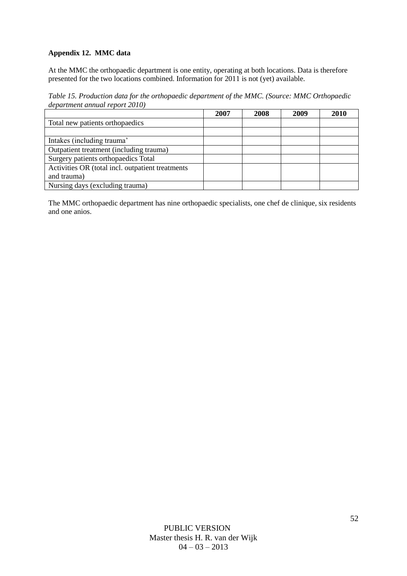## **Appendix 12. MMC data**

At the MMC the orthopaedic department is one entity, operating at both locations. Data is therefore presented for the two locations combined. Information for 2011 is not (yet) available.

*Table 15. Production data for the orthopaedic department of the MMC. (Source: MMC Orthopaedic department annual report 2010)*

|                                                  | 2007 | 2008 | 2009 | 2010 |
|--------------------------------------------------|------|------|------|------|
| Total new patients orthopaedics                  |      |      |      |      |
|                                                  |      |      |      |      |
| Intakes (including trauma)                       |      |      |      |      |
| Outpatient treatment (including trauma)          |      |      |      |      |
| Surgery patients orthopaedics Total              |      |      |      |      |
| Activities OR (total incl. outpatient treatments |      |      |      |      |
| and trauma)                                      |      |      |      |      |
| Nursing days (excluding trauma)                  |      |      |      |      |

The MMC orthopaedic department has nine orthopaedic specialists, one chef de clinique, six residents and one anios.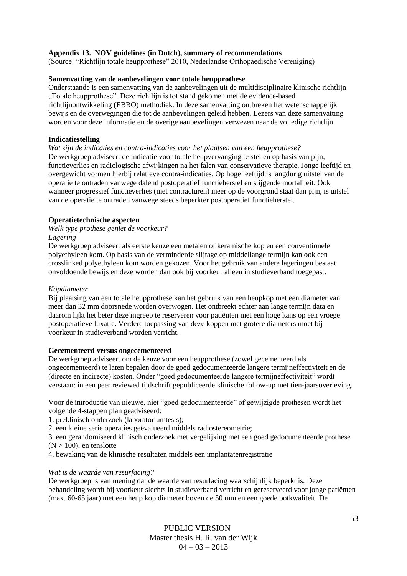### **Appendix 13. NOV guidelines (in Dutch), summary of recommendations**

(Source: "Richtlijn totale heupprothese" 2010, Nederlandse Orthopaedische Vereniging)

#### **Samenvatting van de aanbevelingen voor totale heupprothese**

Onderstaande is een samenvatting van de aanbevelingen uit de multidisciplinaire klinische richtlijn "Totale heupprothese". Deze richtlijn is tot stand gekomen met de evidence-based richtlijnontwikkeling (EBRO) methodiek. In deze samenvatting ontbreken het wetenschappelijk bewijs en de overwegingen die tot de aanbevelingen geleid hebben. Lezers van deze samenvatting worden voor deze informatie en de overige aanbevelingen verwezen naar de volledige richtlijn.

#### **Indicatiestelling**

*Wat zijn de indicaties en contra-indicaties voor het plaatsen van een heupprothese?*  De werkgroep adviseert de indicatie voor totale heupvervanging te stellen op basis van pijn, functieverlies en radiologische afwijkingen na het falen van conservatieve therapie. Jonge leeftijd en overgewicht vormen hierbij relatieve contra-indicaties. Op hoge leeftijd is langdurig uitstel van de operatie te ontraden vanwege dalend postoperatief functieherstel en stijgende mortaliteit. Ook wanneer progressief functieverlies (met contracturen) meer op de voorgrond staat dan pijn, is uitstel van de operatie te ontraden vanwege steeds beperkter postoperatief functieherstel.

## **Operatietechnische aspecten**

#### *Welk type prothese geniet de voorkeur? Lagering*

De werkgroep adviseert als eerste keuze een metalen of keramische kop en een conventionele polyethyleen kom. Op basis van de verminderde slijtage op middellange termijn kan ook een crosslinked polyethyleen kom worden gekozen. Voor het gebruik van andere lageringen bestaat onvoldoende bewijs en deze worden dan ook bij voorkeur alleen in studieverband toegepast.

#### *Kopdiameter*

Bij plaatsing van een totale heupprothese kan het gebruik van een heupkop met een diameter van meer dan 32 mm doorsnede worden overwogen. Het ontbreekt echter aan lange termijn data en daarom lijkt het beter deze ingreep te reserveren voor patiënten met een hoge kans op een vroege postoperatieve luxatie. Verdere toepassing van deze koppen met grotere diameters moet bij voorkeur in studieverband worden verricht.

#### **Gecementeerd versus ongecementeerd**

De werkgroep adviseert om de keuze voor een heupprothese (zowel gecementeerd als ongecementeerd) te laten bepalen door de goed gedocumenteerde langere termijneffectiviteit en de (directe en indirecte) kosten. Onder "goed gedocumenteerde langere termijneffectiviteit" wordt verstaan: in een peer reviewed tijdschrift gepubliceerde klinische follow-up met tien-jaarsoverleving.

Voor de introductie van nieuwe, niet "goed gedocumenteerde" of gewijzigde prothesen wordt het volgende 4-stappen plan geadviseerd:

1. preklinisch onderzoek (laboratoriumtests);

2. een kleine serie operaties geëvalueerd middels radiostereometrie;

3. een gerandomiseerd klinisch onderzoek met vergelijking met een goed gedocumenteerde prothese  $(N > 100)$ , en tenslotte

4. bewaking van de klinische resultaten middels een implantatenregistratie

#### *Wat is de waarde van resurfacing?*

De werkgroep is van mening dat de waarde van resurfacing waarschijnlijk beperkt is. Deze behandeling wordt bij voorkeur slechts in studieverband verricht en gereserveerd voor jonge patiënten (max. 60-65 jaar) met een heup kop diameter boven de 50 mm en een goede botkwaliteit. De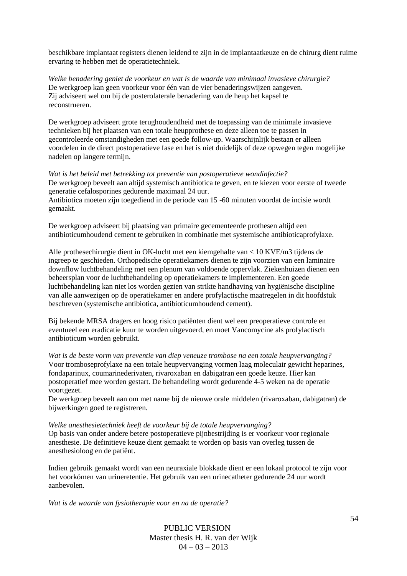beschikbare implantaat registers dienen leidend te zijn in de implantaatkeuze en de chirurg dient ruime ervaring te hebben met de operatietechniek.

*Welke benadering geniet de voorkeur en wat is de waarde van minimaal invasieve chirurgie?*  De werkgroep kan geen voorkeur voor één van de vier benaderingswijzen aangeven. Zij adviseert wel om bij de posterolaterale benadering van de heup het kapsel te reconstrueren.

De werkgroep adviseert grote terughoudendheid met de toepassing van de minimale invasieve technieken bij het plaatsen van een totale heupprothese en deze alleen toe te passen in gecontroleerde omstandigheden met een goede follow-up. Waarschijnlijk bestaan er alleen voordelen in de direct postoperatieve fase en het is niet duidelijk of deze opwegen tegen mogelijke nadelen op langere termijn.

*Wat is het beleid met betrekking tot preventie van postoperatieve wondinfectie?*  De werkgroep beveelt aan altijd systemisch antibiotica te geven, en te kiezen voor eerste of tweede generatie cefalosporines gedurende maximaal 24 uur. Antibiotica moeten zijn toegediend in de periode van 15 -60 minuten voordat de incisie wordt gemaakt.

De werkgroep adviseert bij plaatsing van primaire gecementeerde prothesen altijd een antibioticumhoudend cement te gebruiken in combinatie met systemische antibioticaprofylaxe.

Alle prothesechirurgie dient in OK-lucht met een kiemgehalte van < 10 KVE/m3 tijdens de ingreep te geschieden. Orthopedische operatiekamers dienen te zijn voorzien van een laminaire downflow luchtbehandeling met een plenum van voldoende oppervlak. Ziekenhuizen dienen een beheersplan voor de luchtbehandeling op operatiekamers te implementeren. Een goede luchtbehandeling kan niet los worden gezien van strikte handhaving van hygiënische discipline van alle aanwezigen op de operatiekamer en andere profylactische maatregelen in dit hoofdstuk beschreven (systemische antibiotica, antibioticumhoudend cement).

Bij bekende MRSA dragers en hoog risico patiënten dient wel een preoperatieve controle en eventueel een eradicatie kuur te worden uitgevoerd, en moet Vancomycine als profylactisch antibioticum worden gebruikt.

*Wat is de beste vorm van preventie van diep veneuze trombose na een totale heupvervanging?*  Voor tromboseprofylaxe na een totale heupvervanging vormen laag moleculair gewicht heparines, fondaparinux, coumarinederivaten, rivaroxaban en dabigatran een goede keuze. Hier kan postoperatief mee worden gestart. De behandeling wordt gedurende 4-5 weken na de operatie voortgezet.

De werkgroep beveelt aan om met name bij de nieuwe orale middelen (rivaroxaban, dabigatran) de bijwerkingen goed te registreren.

*Welke anesthesietechniek heeft de voorkeur bij de totale heupvervanging?*  Op basis van onder andere betere postoperatieve pijnbestrijding is er voorkeur voor regionale anesthesie. De definitieve keuze dient gemaakt te worden op basis van overleg tussen de anesthesioloog en de patiënt.

Indien gebruik gemaakt wordt van een neuraxiale blokkade dient er een lokaal protocol te zijn voor het voorkómen van urineretentie. Het gebruik van een urinecatheter gedurende 24 uur wordt aanbevolen.

*Wat is de waarde van fysiotherapie voor en na de operatie?* 

PUBLIC VERSION Master thesis H. R. van der Wijk  $04 - 03 - 2013$